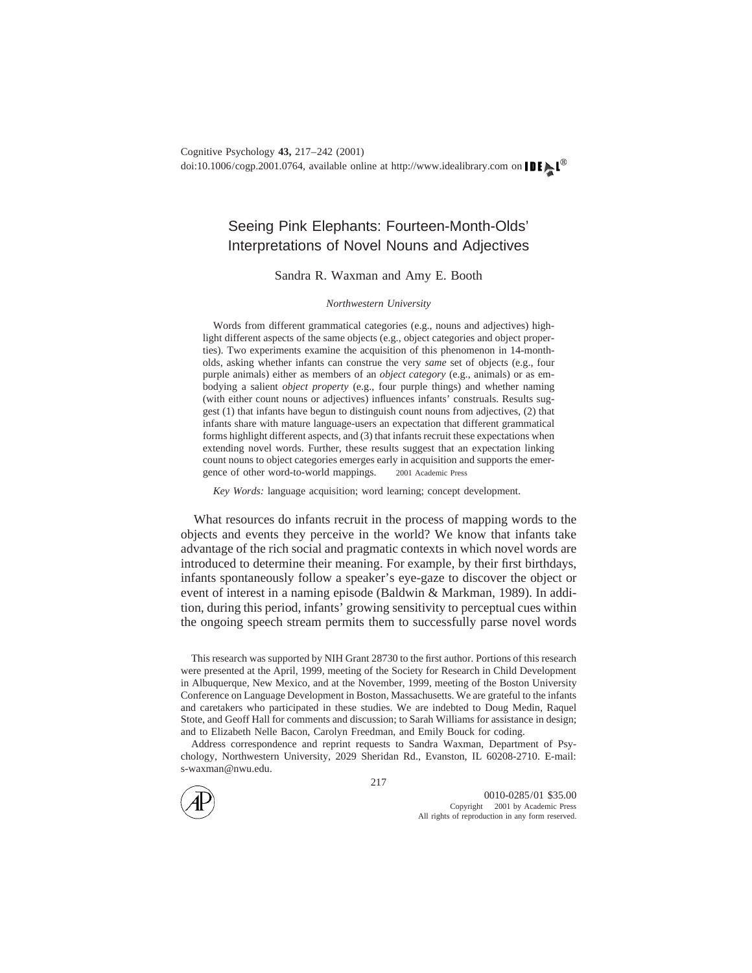# Seeing Pink Elephants: Fourteen-Month-Olds' Interpretations of Novel Nouns and Adjectives

Sandra R. Waxman and Amy E. Booth

*Northwestern University*

Words from different grammatical categories (e.g., nouns and adjectives) highlight different aspects of the same objects (e.g., object categories and object properties). Two experiments examine the acquisition of this phenomenon in 14-montholds, asking whether infants can construe the very *same* set of objects (e.g., four purple animals) either as members of an *object category* (e.g., animals) or as embodying a salient *object property* (e.g., four purple things) and whether naming (with either count nouns or adjectives) influences infants' construals. Results suggest (1) that infants have begun to distinguish count nouns from adjectives, (2) that infants share with mature language-users an expectation that different grammatical forms highlight different aspects, and (3) that infants recruit these expectations when extending novel words. Further, these results suggest that an expectation linking count nouns to object categories emerges early in acquisition and supports the emergence of other word-to-world mappings.  $\circ$  2001 Academic Press

*Key Words:* language acquisition; word learning; concept development.

What resources do infants recruit in the process of mapping words to the objects and events they perceive in the world? We know that infants take advantage of the rich social and pragmatic contexts in which novel words are introduced to determine their meaning. For example, by their first birthdays, infants spontaneously follow a speaker's eye-gaze to discover the object or event of interest in a naming episode (Baldwin & Markman, 1989). In addition, during this period, infants' growing sensitivity to perceptual cues within the ongoing speech stream permits them to successfully parse novel words

This research was supported by NIH Grant 28730 to the first author. Portions of this research were presented at the April, 1999, meeting of the Society for Research in Child Development in Albuquerque, New Mexico, and at the November, 1999, meeting of the Boston University Conference on Language Development in Boston, Massachusetts. We are grateful to the infants and caretakers who participated in these studies. We are indebted to Doug Medin, Raquel Stote, and Geoff Hall for comments and discussion; to Sarah Williams for assistance in design; and to Elizabeth Nelle Bacon, Carolyn Freedman, and Emily Bouck for coding.

Address correspondence and reprint requests to Sandra Waxman, Department of Psychology, Northwestern University, 2029 Sheridan Rd., Evanston, IL 60208-2710. E-mail: s-waxman@nwu.edu.

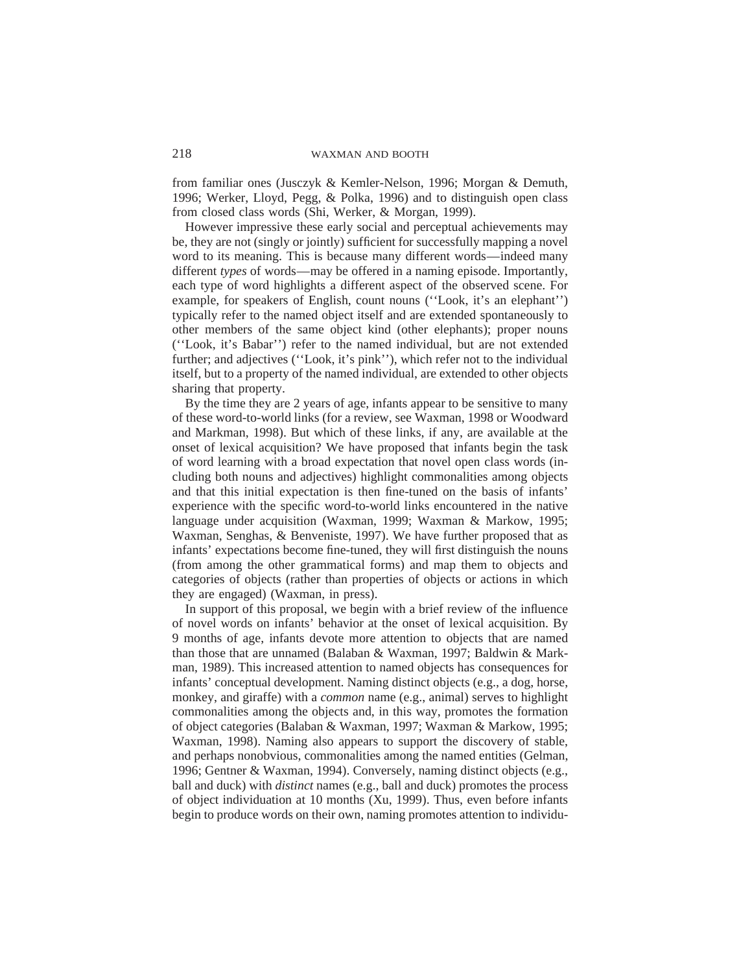from familiar ones (Jusczyk & Kemler-Nelson, 1996; Morgan & Demuth, 1996; Werker, Lloyd, Pegg, & Polka, 1996) and to distinguish open class from closed class words (Shi, Werker, & Morgan, 1999).

However impressive these early social and perceptual achievements may be, they are not (singly or jointly) sufficient for successfully mapping a novel word to its meaning. This is because many different words—indeed many different *types* of words—may be offered in a naming episode. Importantly, each type of word highlights a different aspect of the observed scene. For example, for speakers of English, count nouns (''Look, it's an elephant'') typically refer to the named object itself and are extended spontaneously to other members of the same object kind (other elephants); proper nouns (''Look, it's Babar'') refer to the named individual, but are not extended further; and adjectives (''Look, it's pink''), which refer not to the individual itself, but to a property of the named individual, are extended to other objects sharing that property.

By the time they are 2 years of age, infants appear to be sensitive to many of these word-to-world links (for a review, see Waxman, 1998 or Woodward and Markman, 1998). But which of these links, if any, are available at the onset of lexical acquisition? We have proposed that infants begin the task of word learning with a broad expectation that novel open class words (including both nouns and adjectives) highlight commonalities among objects and that this initial expectation is then fine-tuned on the basis of infants' experience with the specific word-to-world links encountered in the native language under acquisition (Waxman, 1999; Waxman & Markow, 1995; Waxman, Senghas, & Benveniste, 1997). We have further proposed that as infants' expectations become fine-tuned, they will first distinguish the nouns (from among the other grammatical forms) and map them to objects and categories of objects (rather than properties of objects or actions in which they are engaged) (Waxman, in press).

In support of this proposal, we begin with a brief review of the influence of novel words on infants' behavior at the onset of lexical acquisition. By 9 months of age, infants devote more attention to objects that are named than those that are unnamed (Balaban & Waxman, 1997; Baldwin & Markman, 1989). This increased attention to named objects has consequences for infants' conceptual development. Naming distinct objects (e.g., a dog, horse, monkey, and giraffe) with a *common* name (e.g., animal) serves to highlight commonalities among the objects and, in this way, promotes the formation of object categories (Balaban & Waxman, 1997; Waxman & Markow, 1995; Waxman, 1998). Naming also appears to support the discovery of stable, and perhaps nonobvious, commonalities among the named entities (Gelman, 1996; Gentner & Waxman, 1994). Conversely, naming distinct objects (e.g., ball and duck) with *distinct* names (e.g., ball and duck) promotes the process of object individuation at 10 months (Xu, 1999). Thus, even before infants begin to produce words on their own, naming promotes attention to individu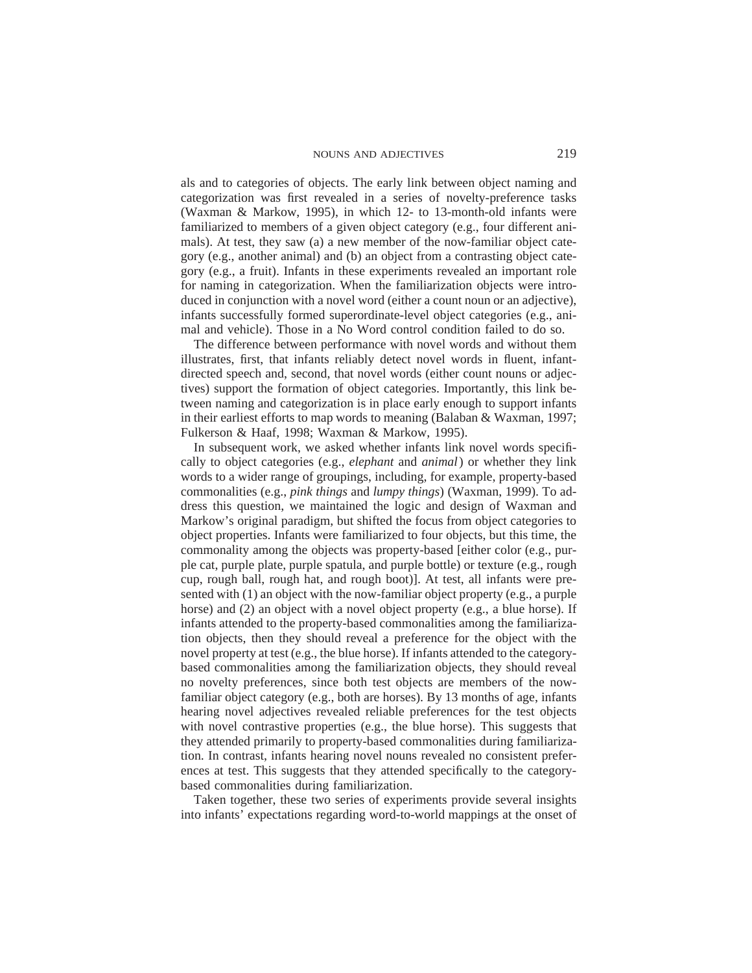als and to categories of objects. The early link between object naming and categorization was first revealed in a series of novelty-preference tasks (Waxman & Markow, 1995), in which 12- to 13-month-old infants were familiarized to members of a given object category (e.g., four different animals). At test, they saw (a) a new member of the now-familiar object category (e.g., another animal) and (b) an object from a contrasting object category (e.g., a fruit). Infants in these experiments revealed an important role for naming in categorization. When the familiarization objects were introduced in conjunction with a novel word (either a count noun or an adjective), infants successfully formed superordinate-level object categories (e.g., animal and vehicle). Those in a No Word control condition failed to do so.

The difference between performance with novel words and without them illustrates, first, that infants reliably detect novel words in fluent, infantdirected speech and, second, that novel words (either count nouns or adjectives) support the formation of object categories. Importantly, this link between naming and categorization is in place early enough to support infants in their earliest efforts to map words to meaning (Balaban & Waxman, 1997; Fulkerson & Haaf, 1998; Waxman & Markow, 1995).

In subsequent work, we asked whether infants link novel words specifically to object categories (e.g., *elephant* and *animal*) or whether they link words to a wider range of groupings, including, for example, property-based commonalities (e.g., *pink things* and *lumpy things*) (Waxman, 1999). To address this question, we maintained the logic and design of Waxman and Markow's original paradigm, but shifted the focus from object categories to object properties. Infants were familiarized to four objects, but this time, the commonality among the objects was property-based [either color (e.g., purple cat, purple plate, purple spatula, and purple bottle) or texture (e.g., rough cup, rough ball, rough hat, and rough boot)]. At test, all infants were presented with (1) an object with the now-familiar object property (e.g., a purple horse) and  $(2)$  an object with a novel object property  $(e.g., a blue horse)$ . If infants attended to the property-based commonalities among the familiarization objects, then they should reveal a preference for the object with the novel property at test (e.g., the blue horse). If infants attended to the categorybased commonalities among the familiarization objects, they should reveal no novelty preferences, since both test objects are members of the nowfamiliar object category (e.g., both are horses). By 13 months of age, infants hearing novel adjectives revealed reliable preferences for the test objects with novel contrastive properties (e.g., the blue horse). This suggests that they attended primarily to property-based commonalities during familiarization. In contrast, infants hearing novel nouns revealed no consistent preferences at test. This suggests that they attended specifically to the categorybased commonalities during familiarization.

Taken together, these two series of experiments provide several insights into infants' expectations regarding word-to-world mappings at the onset of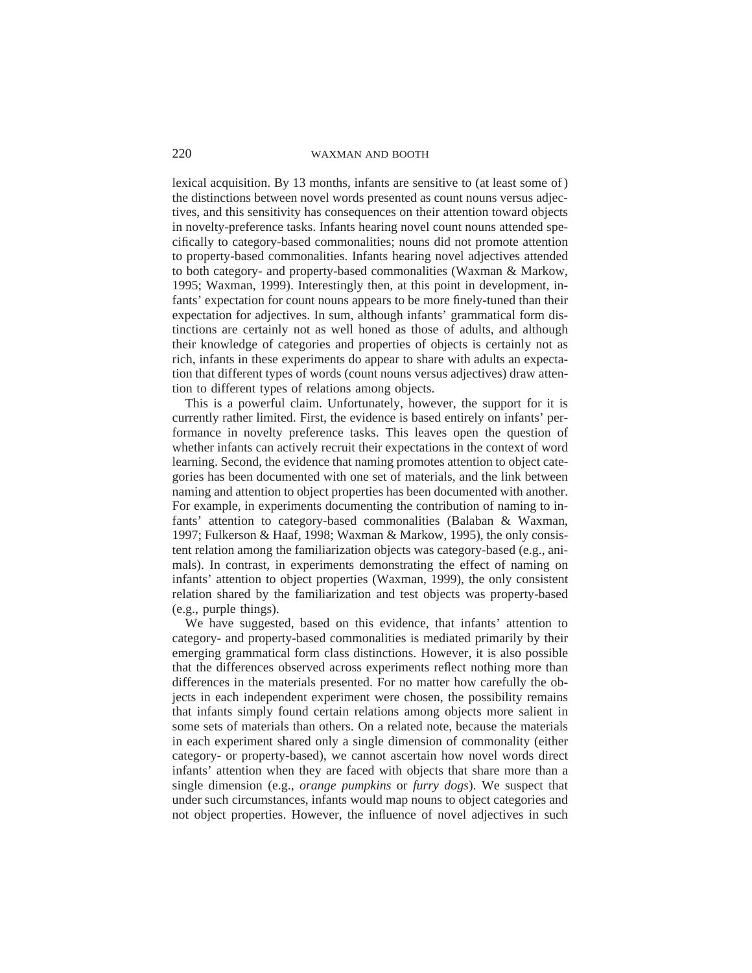lexical acquisition. By 13 months, infants are sensitive to (at least some of ) the distinctions between novel words presented as count nouns versus adjectives, and this sensitivity has consequences on their attention toward objects in novelty-preference tasks. Infants hearing novel count nouns attended specifically to category-based commonalities; nouns did not promote attention to property-based commonalities. Infants hearing novel adjectives attended to both category- and property-based commonalities (Waxman & Markow, 1995; Waxman, 1999). Interestingly then, at this point in development, infants' expectation for count nouns appears to be more finely-tuned than their expectation for adjectives. In sum, although infants' grammatical form distinctions are certainly not as well honed as those of adults, and although their knowledge of categories and properties of objects is certainly not as rich, infants in these experiments do appear to share with adults an expectation that different types of words (count nouns versus adjectives) draw attention to different types of relations among objects.

This is a powerful claim. Unfortunately, however, the support for it is currently rather limited. First, the evidence is based entirely on infants' performance in novelty preference tasks. This leaves open the question of whether infants can actively recruit their expectations in the context of word learning. Second, the evidence that naming promotes attention to object categories has been documented with one set of materials, and the link between naming and attention to object properties has been documented with another. For example, in experiments documenting the contribution of naming to infants' attention to category-based commonalities (Balaban & Waxman, 1997; Fulkerson & Haaf, 1998; Waxman & Markow, 1995), the only consistent relation among the familiarization objects was category-based (e.g., animals). In contrast, in experiments demonstrating the effect of naming on infants' attention to object properties (Waxman, 1999), the only consistent relation shared by the familiarization and test objects was property-based (e.g., purple things).

We have suggested, based on this evidence, that infants' attention to category- and property-based commonalities is mediated primarily by their emerging grammatical form class distinctions. However, it is also possible that the differences observed across experiments reflect nothing more than differences in the materials presented. For no matter how carefully the objects in each independent experiment were chosen, the possibility remains that infants simply found certain relations among objects more salient in some sets of materials than others. On a related note, because the materials in each experiment shared only a single dimension of commonality (either category- or property-based), we cannot ascertain how novel words direct infants' attention when they are faced with objects that share more than a single dimension (e.g., *orange pumpkins* or *furry dogs*). We suspect that under such circumstances, infants would map nouns to object categories and not object properties. However, the influence of novel adjectives in such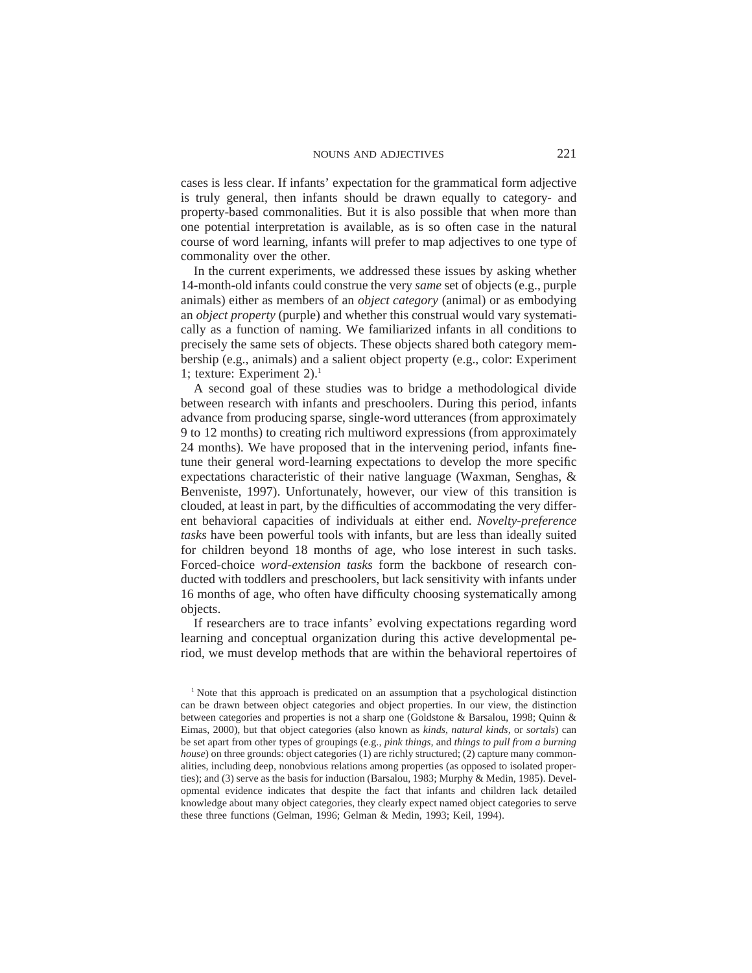cases is less clear. If infants' expectation for the grammatical form adjective is truly general, then infants should be drawn equally to category- and property-based commonalities. But it is also possible that when more than one potential interpretation is available, as is so often case in the natural course of word learning, infants will prefer to map adjectives to one type of commonality over the other.

In the current experiments, we addressed these issues by asking whether 14-month-old infants could construe the very *same* set of objects (e.g., purple animals) either as members of an *object category* (animal) or as embodying an *object property* (purple) and whether this construal would vary systematically as a function of naming. We familiarized infants in all conditions to precisely the same sets of objects. These objects shared both category membership (e.g., animals) and a salient object property (e.g., color: Experiment 1; texture: Experiment  $2$ ).<sup>1</sup>

A second goal of these studies was to bridge a methodological divide between research with infants and preschoolers. During this period, infants advance from producing sparse, single-word utterances (from approximately 9 to 12 months) to creating rich multiword expressions (from approximately 24 months). We have proposed that in the intervening period, infants finetune their general word-learning expectations to develop the more specific expectations characteristic of their native language (Waxman, Senghas, & Benveniste, 1997). Unfortunately, however, our view of this transition is clouded, at least in part, by the difficulties of accommodating the very different behavioral capacities of individuals at either end. *Novelty-preference tasks* have been powerful tools with infants, but are less than ideally suited for children beyond 18 months of age, who lose interest in such tasks. Forced-choice *word-extension tasks* form the backbone of research conducted with toddlers and preschoolers, but lack sensitivity with infants under 16 months of age, who often have difficulty choosing systematically among objects.

If researchers are to trace infants' evolving expectations regarding word learning and conceptual organization during this active developmental period, we must develop methods that are within the behavioral repertoires of

 $1$  Note that this approach is predicated on an assumption that a psychological distinction can be drawn between object categories and object properties. In our view, the distinction between categories and properties is not a sharp one (Goldstone & Barsalou, 1998; Quinn & Eimas, 2000), but that object categories (also known as *kinds, natural kinds,* or *sortals*) can be set apart from other types of groupings (e.g., *pink things,* and *things to pull from a burning house*) on three grounds: object categories (1) are richly structured; (2) capture many commonalities, including deep, nonobvious relations among properties (as opposed to isolated properties); and (3) serve as the basis for induction (Barsalou, 1983; Murphy & Medin, 1985). Developmental evidence indicates that despite the fact that infants and children lack detailed knowledge about many object categories, they clearly expect named object categories to serve these three functions (Gelman, 1996; Gelman & Medin, 1993; Keil, 1994).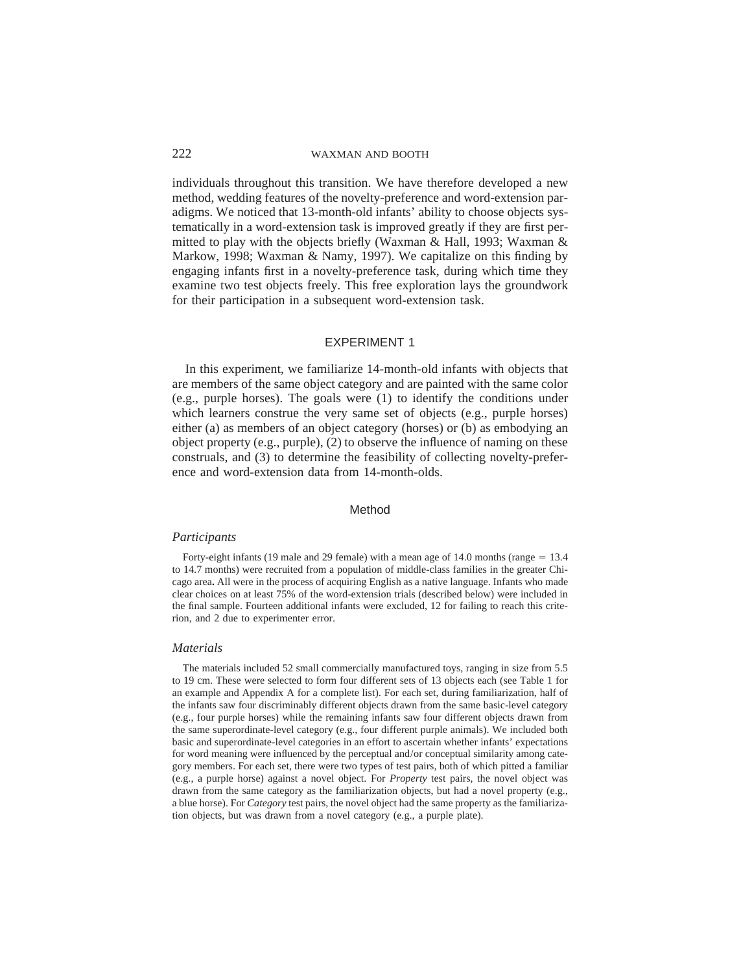individuals throughout this transition. We have therefore developed a new method, wedding features of the novelty-preference and word-extension paradigms. We noticed that 13-month-old infants' ability to choose objects systematically in a word-extension task is improved greatly if they are first permitted to play with the objects briefly (Waxman & Hall, 1993; Waxman & Markow, 1998; Waxman & Namy, 1997). We capitalize on this finding by engaging infants first in a novelty-preference task, during which time they examine two test objects freely. This free exploration lays the groundwork for their participation in a subsequent word-extension task.

# EXPERIMENT 1

In this experiment, we familiarize 14-month-old infants with objects that are members of the same object category and are painted with the same color (e.g., purple horses). The goals were (1) to identify the conditions under which learners construe the very same set of objects (e.g., purple horses) either (a) as members of an object category (horses) or (b) as embodying an object property (e.g., purple), (2) to observe the influence of naming on these construals, and (3) to determine the feasibility of collecting novelty-preference and word-extension data from 14-month-olds.

# Method

#### *Participants*

Forty-eight infants (19 male and 29 female) with a mean age of 14.0 months (range  $= 13.4$ ) to 14.7 months) were recruited from a population of middle-class families in the greater Chicago area**.** All were in the process of acquiring English as a native language. Infants who made clear choices on at least 75% of the word-extension trials (described below) were included in the final sample. Fourteen additional infants were excluded, 12 for failing to reach this criterion, and 2 due to experimenter error.

#### *Materials*

The materials included 52 small commercially manufactured toys, ranging in size from 5.5 to 19 cm. These were selected to form four different sets of 13 objects each (see Table 1 for an example and Appendix A for a complete list). For each set, during familiarization, half of the infants saw four discriminably different objects drawn from the same basic-level category (e.g., four purple horses) while the remaining infants saw four different objects drawn from the same superordinate-level category (e.g., four different purple animals). We included both basic and superordinate-level categories in an effort to ascertain whether infants' expectations for word meaning were influenced by the perceptual and/or conceptual similarity among category members. For each set, there were two types of test pairs, both of which pitted a familiar (e.g., a purple horse) against a novel object. For *Property* test pairs, the novel object was drawn from the same category as the familiarization objects, but had a novel property (e.g., a blue horse). For *Category* test pairs, the novel object had the same property as the familiarization objects, but was drawn from a novel category (e.g., a purple plate).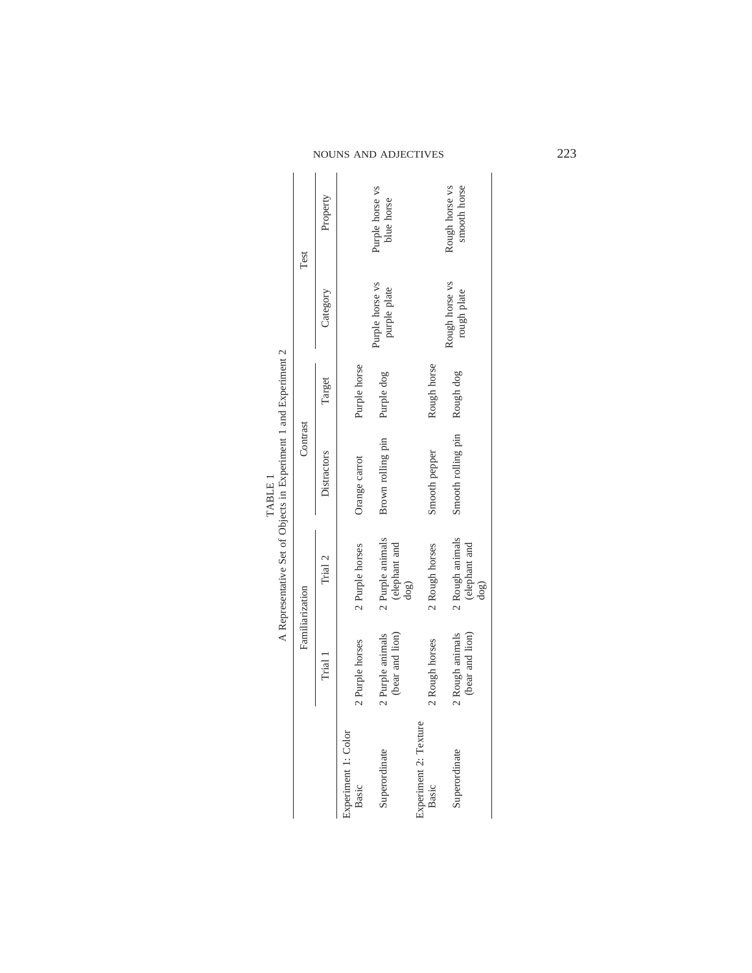|                                                                             | Test            | Property    |                              | Purple horse vs<br>blue horse             |                                       | Rough horse vs<br>smooth horse           |
|-----------------------------------------------------------------------------|-----------------|-------------|------------------------------|-------------------------------------------|---------------------------------------|------------------------------------------|
|                                                                             |                 | Category    |                              | Purple horse vs<br>purple plate           |                                       | Rough horse vs<br>rough plate            |
|                                                                             |                 | Target      | Purple horse                 | Purple dog                                | Rough horse                           | Rough dog                                |
| A Representative Set of Objects in Experiment 1 and Experiment 2<br>TABLE 1 | Contrast        | Distractors | Orange carrot                | Brown rolling pin                         | Smooth pepper                         | Smooth rolling pin                       |
|                                                                             | Familiarization | Trial 2     | 2 Purple horses              | 2 Purple animals<br>(elephant and<br>dog) | 2 Rough horses                        | 2 Rough animals<br>(elephant and<br>dog) |
|                                                                             |                 | Trial 1     | 2 Purple horses              | 2 Purple animals<br>(bear and lion)       | 2 Rough horses                        | 2 Rough animals<br>(bear and lion)       |
|                                                                             |                 |             | Experiment 1: Color<br>Basic | Superordinate                             | Experiment 2: Texture<br><b>Basic</b> | Superordinate                            |

ï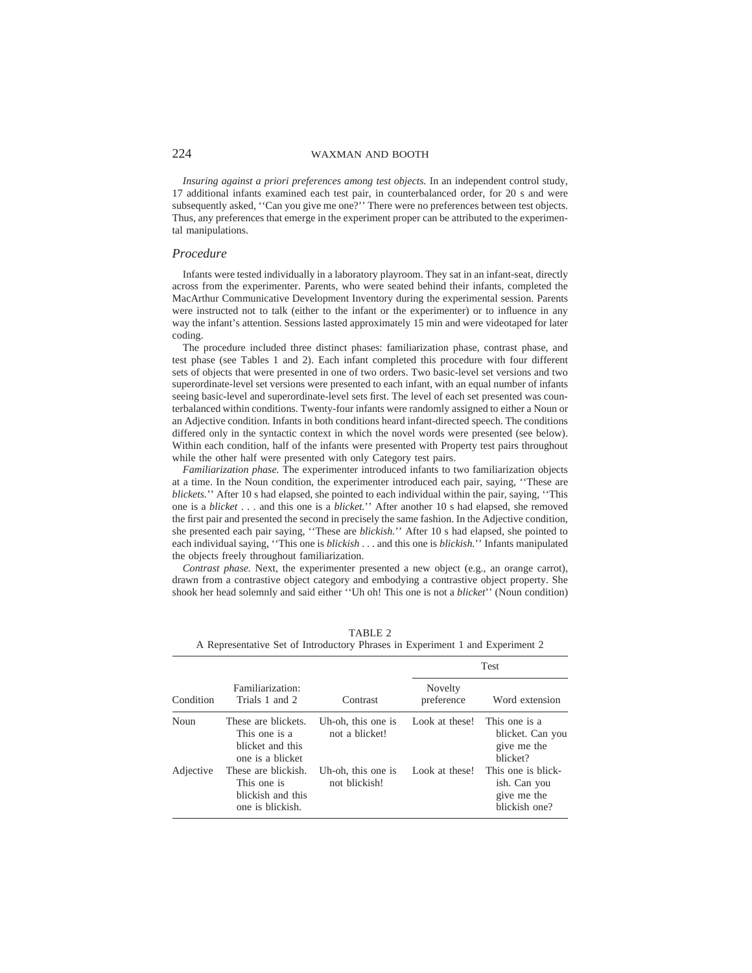*Insuring against a priori preferences among test objects.* In an independent control study, 17 additional infants examined each test pair, in counterbalanced order, for 20 s and were subsequently asked, ''Can you give me one?'' There were no preferences between test objects. Thus, any preferences that emerge in the experiment proper can be attributed to the experimental manipulations.

#### *Procedure*

Infants were tested individually in a laboratory playroom. They sat in an infant-seat, directly across from the experimenter. Parents, who were seated behind their infants, completed the MacArthur Communicative Development Inventory during the experimental session. Parents were instructed not to talk (either to the infant or the experimenter) or to influence in any way the infant's attention. Sessions lasted approximately 15 min and were videotaped for later coding.

The procedure included three distinct phases: familiarization phase, contrast phase, and test phase (see Tables 1 and 2). Each infant completed this procedure with four different sets of objects that were presented in one of two orders. Two basic-level set versions and two superordinate-level set versions were presented to each infant, with an equal number of infants seeing basic-level and superordinate-level sets first. The level of each set presented was counterbalanced within conditions. Twenty-four infants were randomly assigned to either a Noun or an Adjective condition. Infants in both conditions heard infant-directed speech. The conditions differed only in the syntactic context in which the novel words were presented (see below). Within each condition, half of the infants were presented with Property test pairs throughout while the other half were presented with only Category test pairs.

*Familiarization phase.* The experimenter introduced infants to two familiarization objects at a time. In the Noun condition, the experimenter introduced each pair, saying, ''These are *blickets.*'' After 10 s had elapsed, she pointed to each individual within the pair, saying, ''This one is a *blicket* . . . and this one is a *blicket.*'' After another 10 s had elapsed, she removed the first pair and presented the second in precisely the same fashion. In the Adjective condition, she presented each pair saying, ''These are *blickish.*'' After 10 s had elapsed, she pointed to each individual saying, ''This one is *blickish* . . . and this one is *blickish.*'' Infants manipulated the objects freely throughout familiarization.

*Contrast phase.* Next, the experimenter presented a new object (e.g., an orange carrot), drawn from a contrastive object category and embodying a contrastive object property. She shook her head solemnly and said either ''Uh oh! This one is not a *blicket*'' (Noun condition)

|           |                                                                              |                                      |                       | Test                                                               |
|-----------|------------------------------------------------------------------------------|--------------------------------------|-----------------------|--------------------------------------------------------------------|
| Condition | Familiarization:<br>Trials 1 and 2                                           | Contrast                             | Novelty<br>preference | Word extension                                                     |
| Noun      | These are blickets.<br>This one is a<br>blicket and this<br>one is a blicket | Uh-oh, this one is<br>not a blicket! | Look at these!        | This one is a<br>blicket. Can you<br>give me the<br>blicket?       |
| Adjective | These are blickish.<br>This one is<br>blickish and this<br>one is blickish.  | Uh-oh, this one is<br>not blickish!  | Look at these!        | This one is blick-<br>ish. Can you<br>give me the<br>blickish one? |

TABLE 2 A Representative Set of Introductory Phrases in Experiment 1 and Experiment 2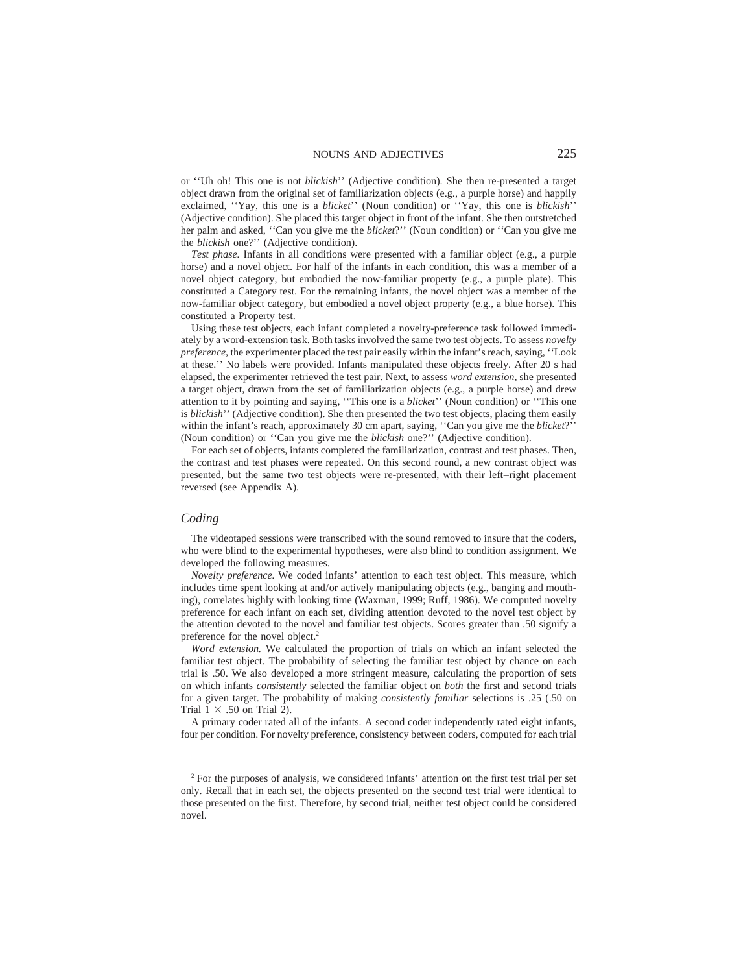or ''Uh oh! This one is not *blickish*'' (Adjective condition). She then re-presented a target object drawn from the original set of familiarization objects (e.g., a purple horse) and happily exclaimed, ''Yay, this one is a *blicket*'' (Noun condition) or ''Yay, this one is *blickish*'' (Adjective condition). She placed this target object in front of the infant. She then outstretched her palm and asked, ''Can you give me the *blicket*?'' (Noun condition) or ''Can you give me the *blickish* one?'' (Adjective condition).

*Test phase.* Infants in all conditions were presented with a familiar object (e.g., a purple horse) and a novel object. For half of the infants in each condition, this was a member of a novel object category, but embodied the now-familiar property (e.g., a purple plate). This constituted a Category test. For the remaining infants, the novel object was a member of the now-familiar object category, but embodied a novel object property (e.g., a blue horse). This constituted a Property test.

Using these test objects, each infant completed a novelty-preference task followed immediately by a word-extension task. Both tasks involved the same two test objects. To assess *novelty preference,* the experimenter placed the test pair easily within the infant's reach, saying, ''Look at these.'' No labels were provided. Infants manipulated these objects freely. After 20 s had elapsed, the experimenter retrieved the test pair. Next, to assess *word extension,* she presented a target object, drawn from the set of familiarization objects (e.g., a purple horse) and drew attention to it by pointing and saying, ''This one is a *blicket*'' (Noun condition) or ''This one is *blickish*'' (Adjective condition). She then presented the two test objects, placing them easily within the infant's reach, approximately 30 cm apart, saying, ''Can you give me the *blicket*?'' (Noun condition) or ''Can you give me the *blickish* one?'' (Adjective condition).

For each set of objects, infants completed the familiarization, contrast and test phases. Then, the contrast and test phases were repeated. On this second round, a new contrast object was presented, but the same two test objects were re-presented, with their left–right placement reversed (see Appendix A).

#### *Coding*

The videotaped sessions were transcribed with the sound removed to insure that the coders, who were blind to the experimental hypotheses, were also blind to condition assignment. We developed the following measures.

*Novelty preference.* We coded infants' attention to each test object. This measure, which includes time spent looking at and/or actively manipulating objects (e.g., banging and mouthing), correlates highly with looking time (Waxman, 1999; Ruff, 1986). We computed novelty preference for each infant on each set, dividing attention devoted to the novel test object by the attention devoted to the novel and familiar test objects. Scores greater than .50 signify a preference for the novel object.<sup>2</sup>

*Word extension.* We calculated the proportion of trials on which an infant selected the familiar test object. The probability of selecting the familiar test object by chance on each trial is .50. We also developed a more stringent measure, calculating the proportion of sets on which infants *consistently* selected the familiar object on *both* the first and second trials for a given target. The probability of making *consistently familiar* selections is .25 (.50 on Trial  $1 \times .50$  on Trial 2).

A primary coder rated all of the infants. A second coder independently rated eight infants, four per condition. For novelty preference, consistency between coders, computed for each trial

 $2^2$  For the purposes of analysis, we considered infants' attention on the first test trial per set only. Recall that in each set, the objects presented on the second test trial were identical to those presented on the first. Therefore, by second trial, neither test object could be considered novel.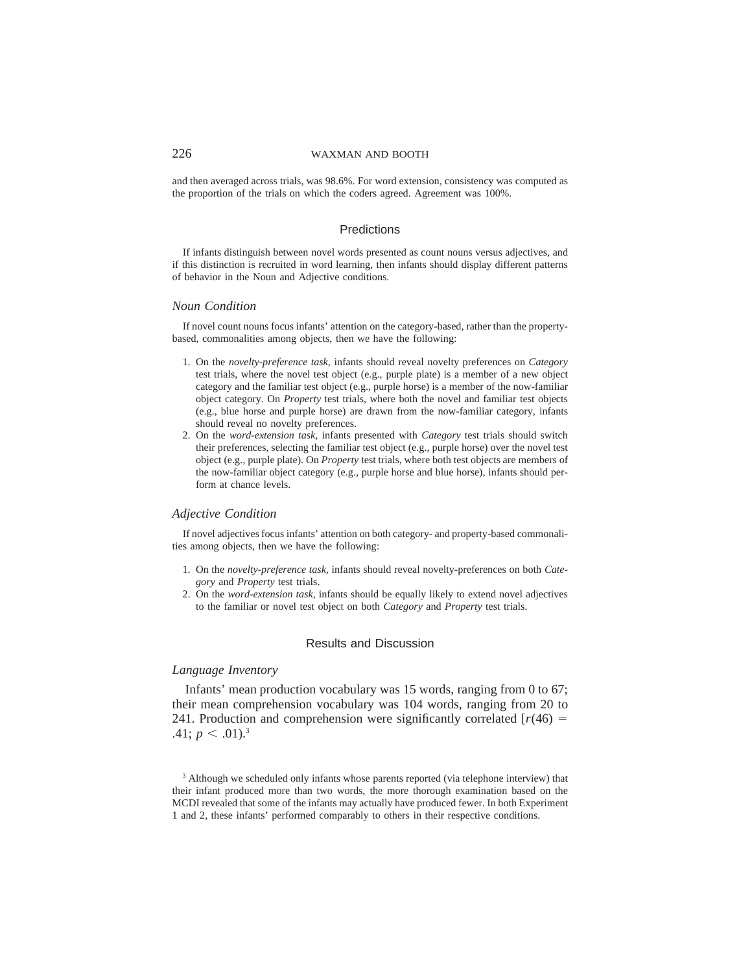and then averaged across trials, was 98.6%. For word extension, consistency was computed as the proportion of the trials on which the coders agreed. Agreement was 100%.

# **Predictions**

If infants distinguish between novel words presented as count nouns versus adjectives, and if this distinction is recruited in word learning, then infants should display different patterns of behavior in the Noun and Adjective conditions.

#### *Noun Condition*

If novel count nouns focus infants' attention on the category-based, rather than the propertybased, commonalities among objects, then we have the following:

- 1. On the *novelty-preference task,* infants should reveal novelty preferences on *Category* test trials, where the novel test object (e.g., purple plate) is a member of a new object category and the familiar test object (e.g., purple horse) is a member of the now-familiar object category. On *Property* test trials, where both the novel and familiar test objects (e.g., blue horse and purple horse) are drawn from the now-familiar category, infants should reveal no novelty preferences.
- 2. On the *word-extension task,* infants presented with *Category* test trials should switch their preferences, selecting the familiar test object (e.g., purple horse) over the novel test object (e.g., purple plate). On *Property* test trials, where both test objects are members of the now-familiar object category (e.g., purple horse and blue horse), infants should perform at chance levels.

# *Adjective Condition*

If novel adjectives focus infants' attention on both category- and property-based commonalities among objects, then we have the following:

- 1. On the *novelty-preference task,* infants should reveal novelty-preferences on both *Category* and *Property* test trials.
- 2. On the *word-extension task,* infants should be equally likely to extend novel adjectives to the familiar or novel test object on both *Category* and *Property* test trials.

# Results and Discussion

#### *Language Inventory*

Infants' mean production vocabulary was 15 words, ranging from 0 to 67; their mean comprehension vocabulary was 104 words, ranging from 20 to 241. Production and comprehension were significantly correlated  $[r(46) =$ .41;  $p < .01$ .<sup>3</sup>

<sup>3</sup> Although we scheduled only infants whose parents reported (via telephone interview) that their infant produced more than two words, the more thorough examination based on the MCDI revealed that some of the infants may actually have produced fewer. In both Experiment 1 and 2, these infants' performed comparably to others in their respective conditions.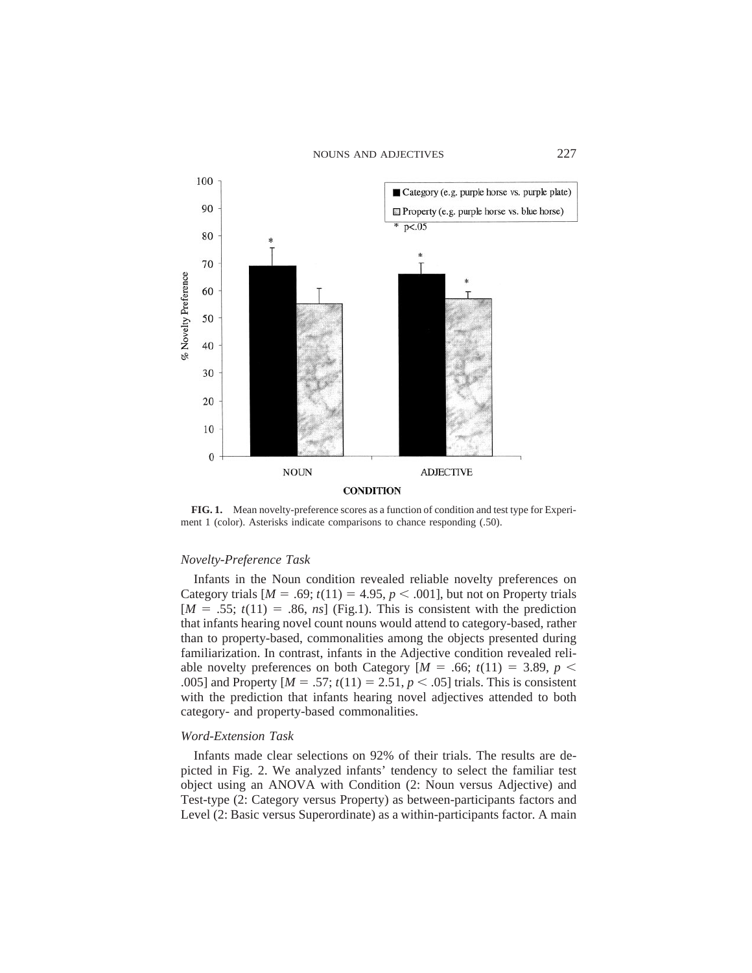

**FIG. 1.** Mean novelty-preference scores as a function of condition and test type for Experiment 1 (color). Asterisks indicate comparisons to chance responding (.50).

# *Novelty-Preference Task*

Infants in the Noun condition revealed reliable novelty preferences on Category trials  $[M = .69; t(11) = 4.95, p < .001]$ , but not on Property trials  $[M = .55; t(11) = .86, ns]$  (Fig.1). This is consistent with the prediction that infants hearing novel count nouns would attend to category-based, rather than to property-based, commonalities among the objects presented during familiarization. In contrast, infants in the Adjective condition revealed reliable novelty preferences on both Category  $[M = .66; t(11) = 3.89, p <$ .005] and Property  $[M = .57; t(11) = 2.51, p < .05]$  trials. This is consistent with the prediction that infants hearing novel adjectives attended to both category- and property-based commonalities.

# *Word-Extension Task*

Infants made clear selections on 92% of their trials. The results are depicted in Fig. 2. We analyzed infants' tendency to select the familiar test object using an ANOVA with Condition (2: Noun versus Adjective) and Test-type (2: Category versus Property) as between-participants factors and Level (2: Basic versus Superordinate) as a within-participants factor. A main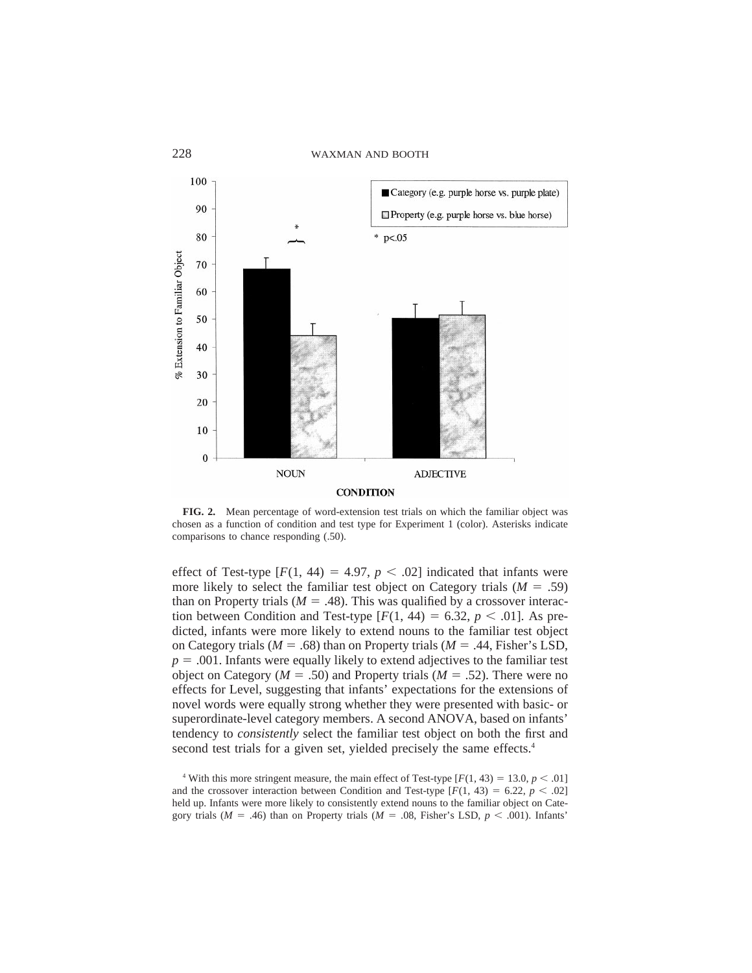

**FIG. 2.** Mean percentage of word-extension test trials on which the familiar object was chosen as a function of condition and test type for Experiment 1 (color). Asterisks indicate comparisons to chance responding (.50).

effect of Test-type  $[F(1, 44) = 4.97, p < .02]$  indicated that infants were more likely to select the familiar test object on Category trials  $(M = .59)$ than on Property trials ( $M = .48$ ). This was qualified by a crossover interaction between Condition and Test-type  $[F(1, 44) = 6.32, p < .01]$ . As predicted, infants were more likely to extend nouns to the familiar test object on Category trials ( $M = .68$ ) than on Property trials ( $M = .44$ , Fisher's LSD,  $p = .001$ . Infants were equally likely to extend adjectives to the familiar test object on Category ( $M = .50$ ) and Property trials ( $M = .52$ ). There were no effects for Level, suggesting that infants' expectations for the extensions of novel words were equally strong whether they were presented with basic- or superordinate-level category members. A second ANOVA, based on infants' tendency to *consistently* select the familiar test object on both the first and second test trials for a given set, yielded precisely the same effects.<sup>4</sup>

<sup>4</sup> With this more stringent measure, the main effect of Test-type  $[F(1, 43) = 13.0, p < .01]$ and the crossover interaction between Condition and Test-type  $[F(1, 43) = 6.22, p < .02]$ held up. Infants were more likely to consistently extend nouns to the familiar object on Category trials ( $M = .46$ ) than on Property trials ( $M = .08$ , Fisher's LSD,  $p < .001$ ). Infants'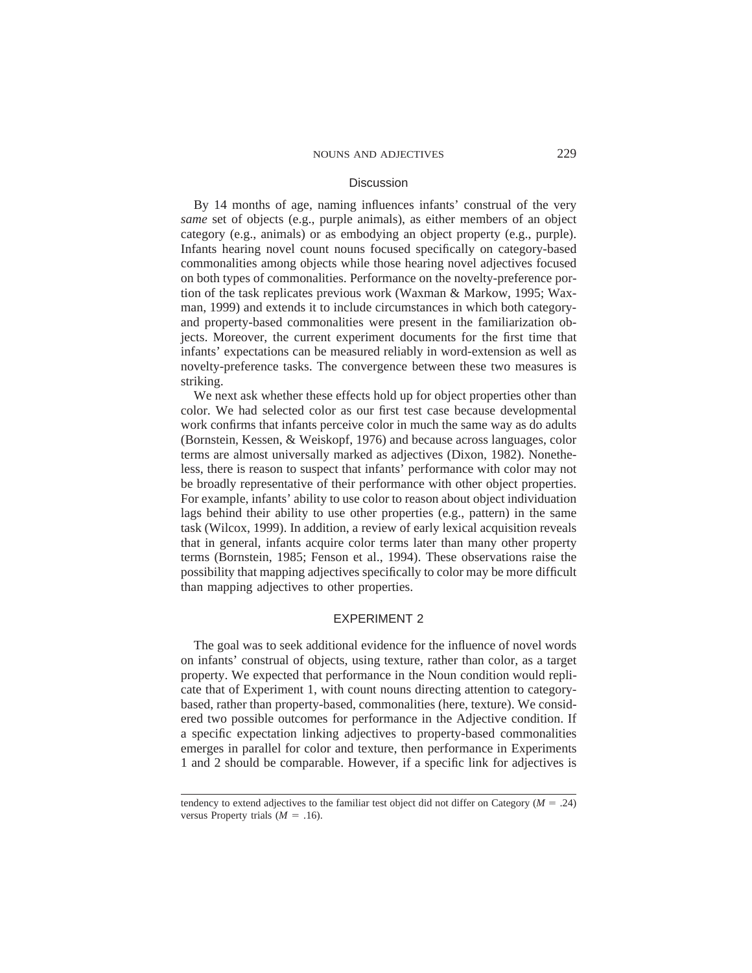# Discussion

By 14 months of age, naming influences infants' construal of the very *same* set of objects (e.g., purple animals), as either members of an object category (e.g., animals) or as embodying an object property (e.g., purple). Infants hearing novel count nouns focused specifically on category-based commonalities among objects while those hearing novel adjectives focused on both types of commonalities. Performance on the novelty-preference portion of the task replicates previous work (Waxman & Markow, 1995; Waxman, 1999) and extends it to include circumstances in which both categoryand property-based commonalities were present in the familiarization objects. Moreover, the current experiment documents for the first time that infants' expectations can be measured reliably in word-extension as well as novelty-preference tasks. The convergence between these two measures is striking.

We next ask whether these effects hold up for object properties other than color. We had selected color as our first test case because developmental work confirms that infants perceive color in much the same way as do adults (Bornstein, Kessen, & Weiskopf, 1976) and because across languages, color terms are almost universally marked as adjectives (Dixon, 1982). Nonetheless, there is reason to suspect that infants' performance with color may not be broadly representative of their performance with other object properties. For example, infants' ability to use color to reason about object individuation lags behind their ability to use other properties (e.g., pattern) in the same task (Wilcox, 1999). In addition, a review of early lexical acquisition reveals that in general, infants acquire color terms later than many other property terms (Bornstein, 1985; Fenson et al., 1994). These observations raise the possibility that mapping adjectives specifically to color may be more difficult than mapping adjectives to other properties.

# EXPERIMENT 2

The goal was to seek additional evidence for the influence of novel words on infants' construal of objects, using texture, rather than color, as a target property. We expected that performance in the Noun condition would replicate that of Experiment 1, with count nouns directing attention to categorybased, rather than property-based, commonalities (here, texture). We considered two possible outcomes for performance in the Adjective condition. If a specific expectation linking adjectives to property-based commonalities emerges in parallel for color and texture, then performance in Experiments 1 and 2 should be comparable. However, if a specific link for adjectives is

tendency to extend adjectives to the familiar test object did not differ on Category ( $M = .24$ ) versus Property trials  $(M = .16)$ .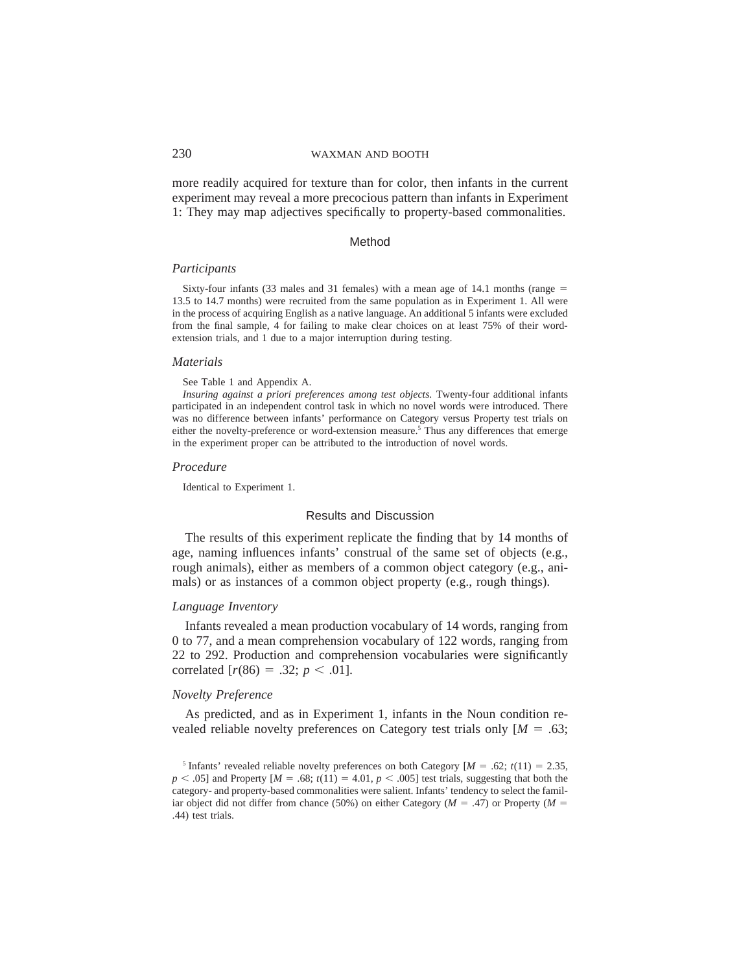more readily acquired for texture than for color, then infants in the current experiment may reveal a more precocious pattern than infants in Experiment 1: They may map adjectives specifically to property-based commonalities.

# Method

# *Participants*

Sixty-four infants (33 males and 31 females) with a mean age of 14.1 months (range  $=$ 13.5 to 14.7 months) were recruited from the same population as in Experiment 1. All were in the process of acquiring English as a native language. An additional 5 infants were excluded from the final sample, 4 for failing to make clear choices on at least 75% of their wordextension trials, and 1 due to a major interruption during testing.

## *Materials*

See Table 1 and Appendix A.

*Insuring against a priori preferences among test objects.* Twenty-four additional infants participated in an independent control task in which no novel words were introduced. There was no difference between infants' performance on Category versus Property test trials on either the novelty-preference or word-extension measure.<sup>5</sup> Thus any differences that emerge in the experiment proper can be attributed to the introduction of novel words.

# *Procedure*

Identical to Experiment 1.

#### Results and Discussion

The results of this experiment replicate the finding that by 14 months of age, naming influences infants' construal of the same set of objects (e.g., rough animals), either as members of a common object category (e.g., animals) or as instances of a common object property (e.g., rough things).

# *Language Inventory*

Infants revealed a mean production vocabulary of 14 words, ranging from 0 to 77, and a mean comprehension vocabulary of 122 words, ranging from 22 to 292. Production and comprehension vocabularies were significantly correlated  $[r(86) = .32; p < .01]$ .

#### *Novelty Preference*

As predicted, and as in Experiment 1, infants in the Noun condition revealed reliable novelty preferences on Category test trials only  $[M = .63]$ ;

<sup>&</sup>lt;sup>5</sup> Infants' revealed reliable novelty preferences on both Category  $[M = .62; t(11) = 2.35]$ ,  $p < .05$ ] and Property  $[M = .68; t(11) = 4.01, p < .005]$  test trials, suggesting that both the category- and property-based commonalities were salient. Infants' tendency to select the familiar object did not differ from chance (50%) on either Category ( $M = .47$ ) or Property ( $M =$ .44) test trials.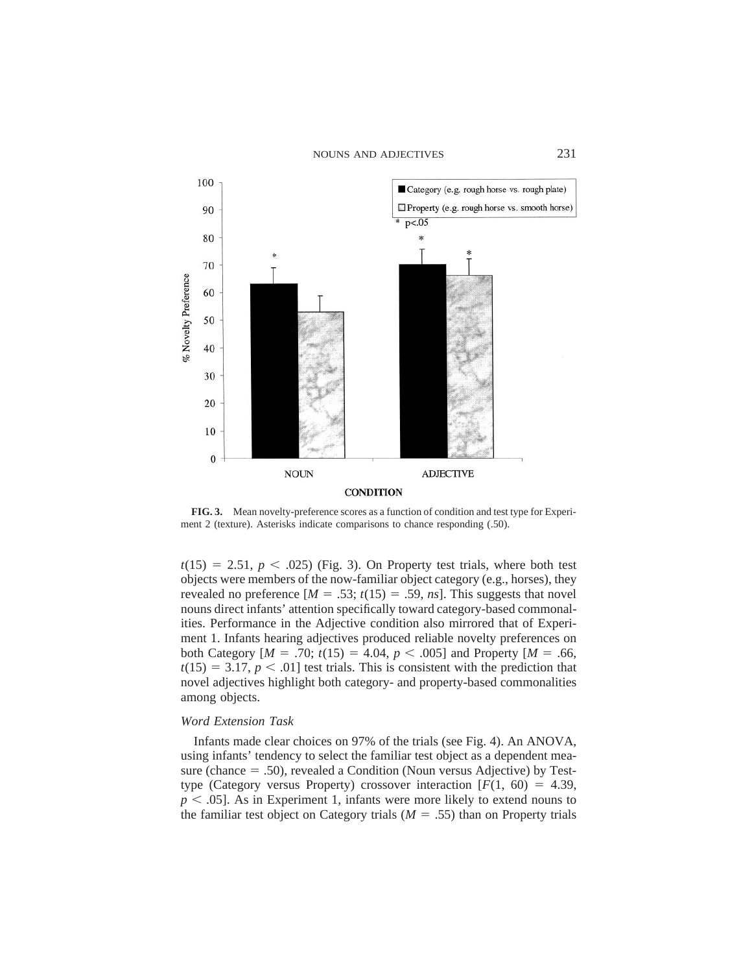

**FIG. 3.** Mean novelty-preference scores as a function of condition and test type for Experiment 2 (texture). Asterisks indicate comparisons to chance responding (.50).

 $t(15) = 2.51$ ,  $p < .025$ ) (Fig. 3). On Property test trials, where both test objects were members of the now-familiar object category (e.g., horses), they revealed no preference  $[M = .53; t(15) = .59, ns]$ . This suggests that novel nouns direct infants' attention specifically toward category-based commonalities. Performance in the Adjective condition also mirrored that of Experiment 1. Infants hearing adjectives produced reliable novelty preferences on both Category  $[M = .70; t(15) = 4.04, p < .005]$  and Property  $[M = .66,$  $t(15) = 3.17, p < .01$ ] test trials. This is consistent with the prediction that novel adjectives highlight both category- and property-based commonalities among objects.

# *Word Extension Task*

Infants made clear choices on 97% of the trials (see Fig. 4). An ANOVA, using infants' tendency to select the familiar test object as a dependent measure (chance  $= .50$ ), revealed a Condition (Noun versus Adjective) by Testtype (Category versus Property) crossover interaction  $[F(1, 60) = 4.39]$ ,  $p < .05$ ]. As in Experiment 1, infants were more likely to extend nouns to the familiar test object on Category trials  $(M = .55)$  than on Property trials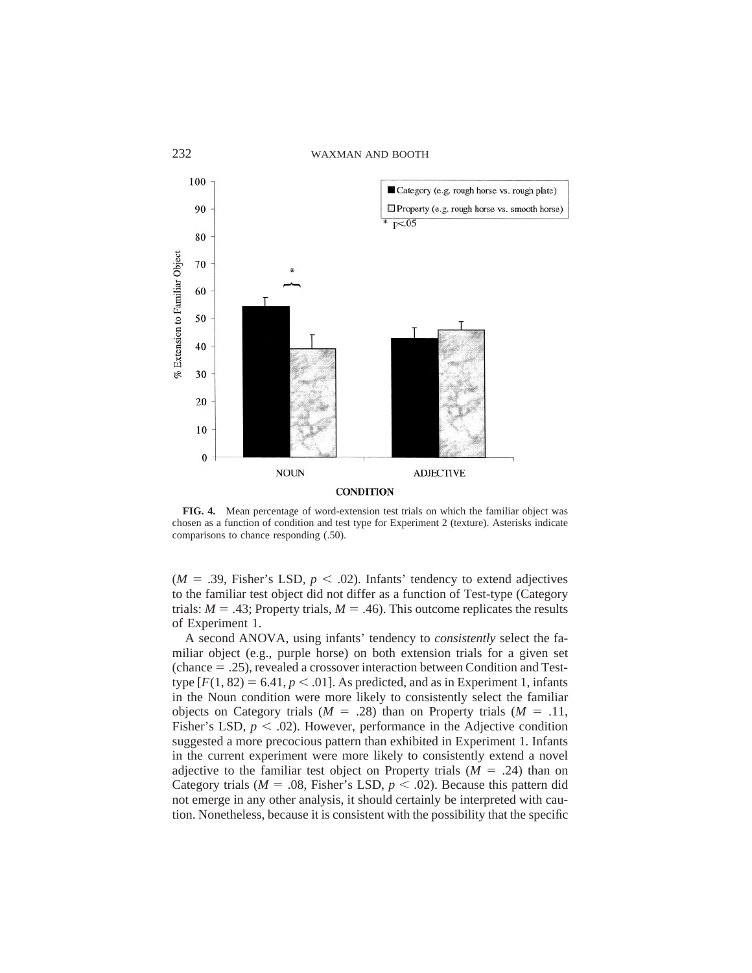

**FIG. 4.** Mean percentage of word-extension test trials on which the familiar object was chosen as a function of condition and test type for Experiment 2 (texture). Asterisks indicate comparisons to chance responding (.50).

 $(M = .39,$  Fisher's LSD,  $p < .02$ ). Infants' tendency to extend adjectives to the familiar test object did not differ as a function of Test-type (Category trials:  $M = .43$ ; Property trials,  $M = .46$ ). This outcome replicates the results of Experiment 1.

A second ANOVA, using infants' tendency to *consistently* select the familiar object (e.g., purple horse) on both extension trials for a given set  $(change = .25)$ , revealed a crossover interaction between Condition and Testtype  $[F(1, 82) = 6.41, p < .01]$ . As predicted, and as in Experiment 1, infants in the Noun condition were more likely to consistently select the familiar objects on Category trials ( $M = .28$ ) than on Property trials ( $M = .11$ , Fisher's LSD,  $p < .02$ ). However, performance in the Adjective condition suggested a more precocious pattern than exhibited in Experiment 1. Infants in the current experiment were more likely to consistently extend a novel adjective to the familiar test object on Property trials  $(M = .24)$  than on Category trials ( $M = .08$ , Fisher's LSD,  $p < .02$ ). Because this pattern did not emerge in any other analysis, it should certainly be interpreted with caution. Nonetheless, because it is consistent with the possibility that the specific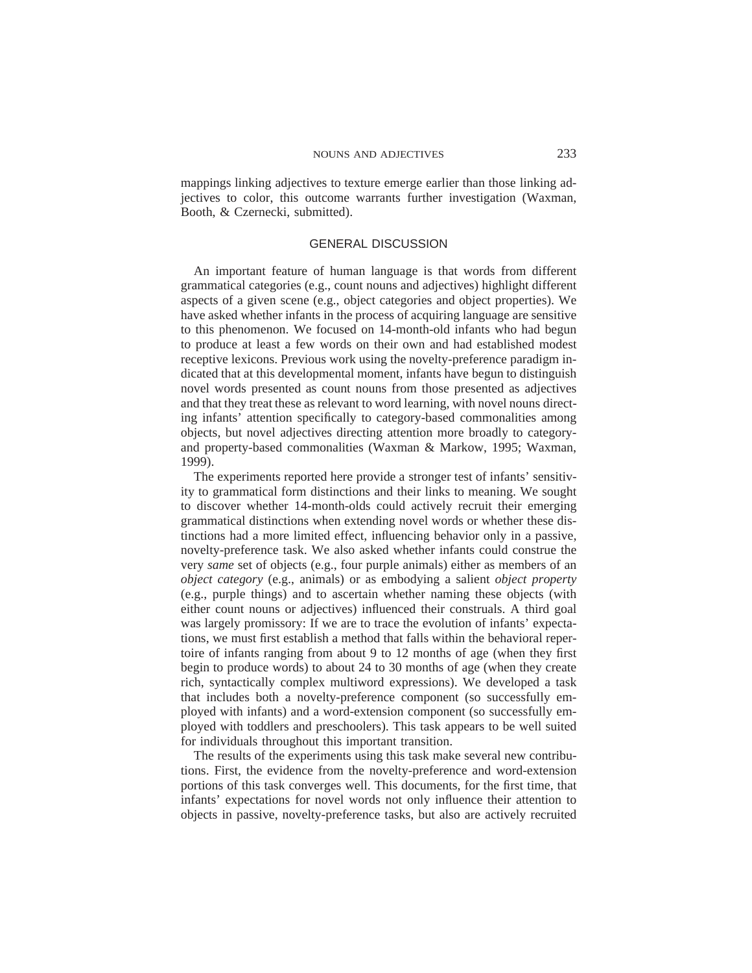mappings linking adjectives to texture emerge earlier than those linking adjectives to color, this outcome warrants further investigation (Waxman, Booth, & Czernecki, submitted).

# GENERAL DISCUSSION

An important feature of human language is that words from different grammatical categories (e.g., count nouns and adjectives) highlight different aspects of a given scene (e.g., object categories and object properties). We have asked whether infants in the process of acquiring language are sensitive to this phenomenon. We focused on 14-month-old infants who had begun to produce at least a few words on their own and had established modest receptive lexicons. Previous work using the novelty-preference paradigm indicated that at this developmental moment, infants have begun to distinguish novel words presented as count nouns from those presented as adjectives and that they treat these as relevant to word learning, with novel nouns directing infants' attention specifically to category-based commonalities among objects, but novel adjectives directing attention more broadly to categoryand property-based commonalities (Waxman & Markow, 1995; Waxman, 1999).

The experiments reported here provide a stronger test of infants' sensitivity to grammatical form distinctions and their links to meaning. We sought to discover whether 14-month-olds could actively recruit their emerging grammatical distinctions when extending novel words or whether these distinctions had a more limited effect, influencing behavior only in a passive, novelty-preference task. We also asked whether infants could construe the very *same* set of objects (e.g., four purple animals) either as members of an *object category* (e.g., animals) or as embodying a salient *object property* (e.g., purple things) and to ascertain whether naming these objects (with either count nouns or adjectives) influenced their construals. A third goal was largely promissory: If we are to trace the evolution of infants' expectations, we must first establish a method that falls within the behavioral repertoire of infants ranging from about 9 to 12 months of age (when they first begin to produce words) to about 24 to 30 months of age (when they create rich, syntactically complex multiword expressions). We developed a task that includes both a novelty-preference component (so successfully employed with infants) and a word-extension component (so successfully employed with toddlers and preschoolers). This task appears to be well suited for individuals throughout this important transition.

The results of the experiments using this task make several new contributions. First, the evidence from the novelty-preference and word-extension portions of this task converges well. This documents, for the first time, that infants' expectations for novel words not only influence their attention to objects in passive, novelty-preference tasks, but also are actively recruited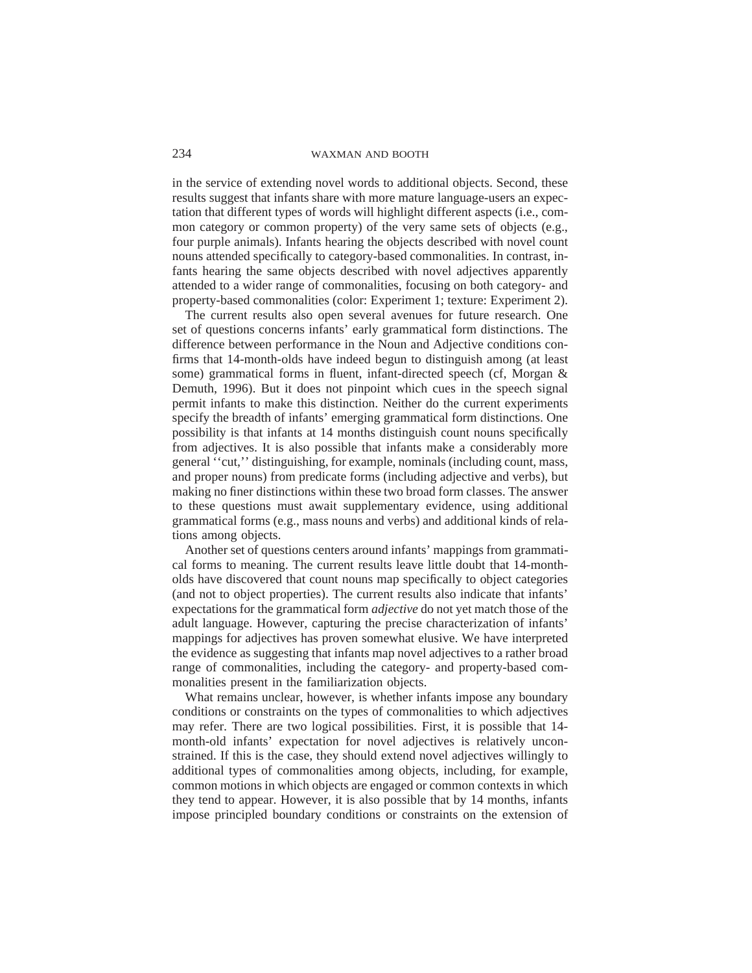in the service of extending novel words to additional objects. Second, these results suggest that infants share with more mature language-users an expectation that different types of words will highlight different aspects (i.e., common category or common property) of the very same sets of objects (e.g., four purple animals). Infants hearing the objects described with novel count nouns attended specifically to category-based commonalities. In contrast, infants hearing the same objects described with novel adjectives apparently attended to a wider range of commonalities, focusing on both category- and property-based commonalities (color: Experiment 1; texture: Experiment 2).

The current results also open several avenues for future research. One set of questions concerns infants' early grammatical form distinctions. The difference between performance in the Noun and Adjective conditions confirms that 14-month-olds have indeed begun to distinguish among (at least some) grammatical forms in fluent, infant-directed speech (cf, Morgan & Demuth, 1996). But it does not pinpoint which cues in the speech signal permit infants to make this distinction. Neither do the current experiments specify the breadth of infants' emerging grammatical form distinctions. One possibility is that infants at 14 months distinguish count nouns specifically from adjectives. It is also possible that infants make a considerably more general ''cut,'' distinguishing, for example, nominals (including count, mass, and proper nouns) from predicate forms (including adjective and verbs), but making no finer distinctions within these two broad form classes. The answer to these questions must await supplementary evidence, using additional grammatical forms (e.g., mass nouns and verbs) and additional kinds of relations among objects.

Another set of questions centers around infants' mappings from grammatical forms to meaning. The current results leave little doubt that 14-montholds have discovered that count nouns map specifically to object categories (and not to object properties). The current results also indicate that infants' expectations for the grammatical form *adjective* do not yet match those of the adult language. However, capturing the precise characterization of infants' mappings for adjectives has proven somewhat elusive. We have interpreted the evidence as suggesting that infants map novel adjectives to a rather broad range of commonalities, including the category- and property-based commonalities present in the familiarization objects.

What remains unclear, however, is whether infants impose any boundary conditions or constraints on the types of commonalities to which adjectives may refer. There are two logical possibilities. First, it is possible that 14 month-old infants' expectation for novel adjectives is relatively unconstrained. If this is the case, they should extend novel adjectives willingly to additional types of commonalities among objects, including, for example, common motions in which objects are engaged or common contexts in which they tend to appear. However, it is also possible that by 14 months, infants impose principled boundary conditions or constraints on the extension of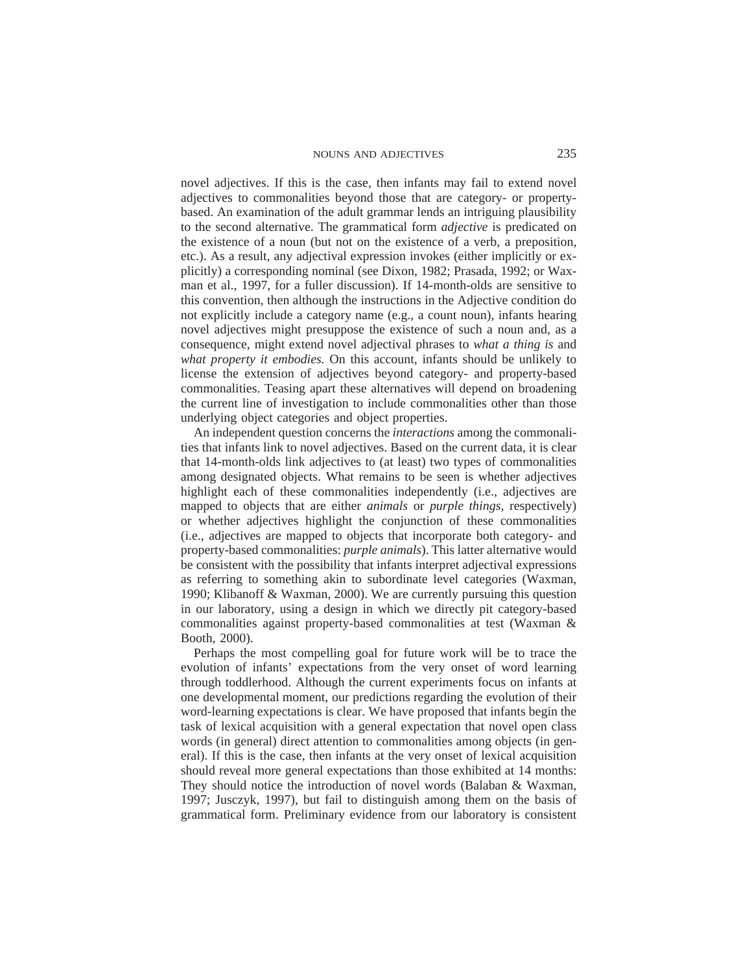novel adjectives. If this is the case, then infants may fail to extend novel adjectives to commonalities beyond those that are category- or propertybased. An examination of the adult grammar lends an intriguing plausibility to the second alternative. The grammatical form *adjective* is predicated on the existence of a noun (but not on the existence of a verb, a preposition, etc.). As a result, any adjectival expression invokes (either implicitly or explicitly) a corresponding nominal (see Dixon, 1982; Prasada, 1992; or Waxman et al., 1997, for a fuller discussion). If 14-month-olds are sensitive to this convention, then although the instructions in the Adjective condition do not explicitly include a category name (e.g., a count noun), infants hearing novel adjectives might presuppose the existence of such a noun and, as a consequence, might extend novel adjectival phrases to *what a thing is* and what property it embodies. On this account, infants should be unlikely to license the extension of adjectives beyond category- and property-based commonalities. Teasing apart these alternatives will depend on broadening the current line of investigation to include commonalities other than those underlying object categories and object properties.

An independent question concerns the *interactions* among the commonalities that infants link to novel adjectives. Based on the current data, it is clear that 14-month-olds link adjectives to (at least) two types of commonalities among designated objects. What remains to be seen is whether adjectives highlight each of these commonalities independently (i.e., adjectives are mapped to objects that are either *animals* or *purple things,* respectively) or whether adjectives highlight the conjunction of these commonalities (i.e., adjectives are mapped to objects that incorporate both category- and property-based commonalities: *purple animals*). This latter alternative would be consistent with the possibility that infants interpret adjectival expressions as referring to something akin to subordinate level categories (Waxman, 1990; Klibanoff & Waxman, 2000). We are currently pursuing this question in our laboratory, using a design in which we directly pit category-based commonalities against property-based commonalities at test (Waxman & Booth, 2000).

Perhaps the most compelling goal for future work will be to trace the evolution of infants' expectations from the very onset of word learning through toddlerhood. Although the current experiments focus on infants at one developmental moment, our predictions regarding the evolution of their word-learning expectations is clear. We have proposed that infants begin the task of lexical acquisition with a general expectation that novel open class words (in general) direct attention to commonalities among objects (in general). If this is the case, then infants at the very onset of lexical acquisition should reveal more general expectations than those exhibited at 14 months: They should notice the introduction of novel words (Balaban & Waxman, 1997; Jusczyk, 1997), but fail to distinguish among them on the basis of grammatical form. Preliminary evidence from our laboratory is consistent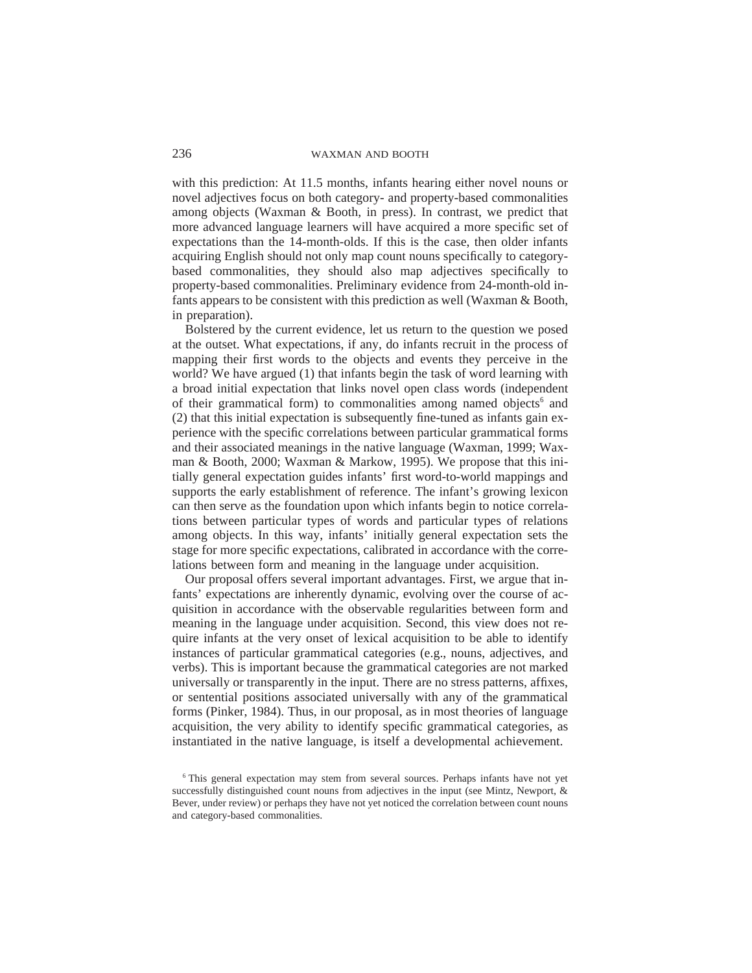with this prediction: At 11.5 months, infants hearing either novel nouns or novel adjectives focus on both category- and property-based commonalities among objects (Waxman & Booth, in press). In contrast, we predict that more advanced language learners will have acquired a more specific set of expectations than the 14-month-olds. If this is the case, then older infants acquiring English should not only map count nouns specifically to categorybased commonalities, they should also map adjectives specifically to property-based commonalities. Preliminary evidence from 24-month-old infants appears to be consistent with this prediction as well (Waxman & Booth, in preparation).

Bolstered by the current evidence, let us return to the question we posed at the outset. What expectations, if any, do infants recruit in the process of mapping their first words to the objects and events they perceive in the world? We have argued (1) that infants begin the task of word learning with a broad initial expectation that links novel open class words (independent of their grammatical form) to commonalities among named objects<sup>6</sup> and  $(2)$  that this initial expectation is subsequently fine-tuned as infants gain experience with the specific correlations between particular grammatical forms and their associated meanings in the native language (Waxman, 1999; Waxman & Booth, 2000; Waxman & Markow, 1995). We propose that this initially general expectation guides infants' first word-to-world mappings and supports the early establishment of reference. The infant's growing lexicon can then serve as the foundation upon which infants begin to notice correlations between particular types of words and particular types of relations among objects. In this way, infants' initially general expectation sets the stage for more specific expectations, calibrated in accordance with the correlations between form and meaning in the language under acquisition.

Our proposal offers several important advantages. First, we argue that infants' expectations are inherently dynamic, evolving over the course of acquisition in accordance with the observable regularities between form and meaning in the language under acquisition. Second, this view does not require infants at the very onset of lexical acquisition to be able to identify instances of particular grammatical categories (e.g., nouns, adjectives, and verbs). This is important because the grammatical categories are not marked universally or transparently in the input. There are no stress patterns, affixes, or sentential positions associated universally with any of the grammatical forms (Pinker, 1984). Thus, in our proposal, as in most theories of language acquisition, the very ability to identify specific grammatical categories, as instantiated in the native language, is itself a developmental achievement.

<sup>&</sup>lt;sup>6</sup> This general expectation may stem from several sources. Perhaps infants have not yet successfully distinguished count nouns from adjectives in the input (see Mintz, Newport, & Bever, under review) or perhaps they have not yet noticed the correlation between count nouns and category-based commonalities.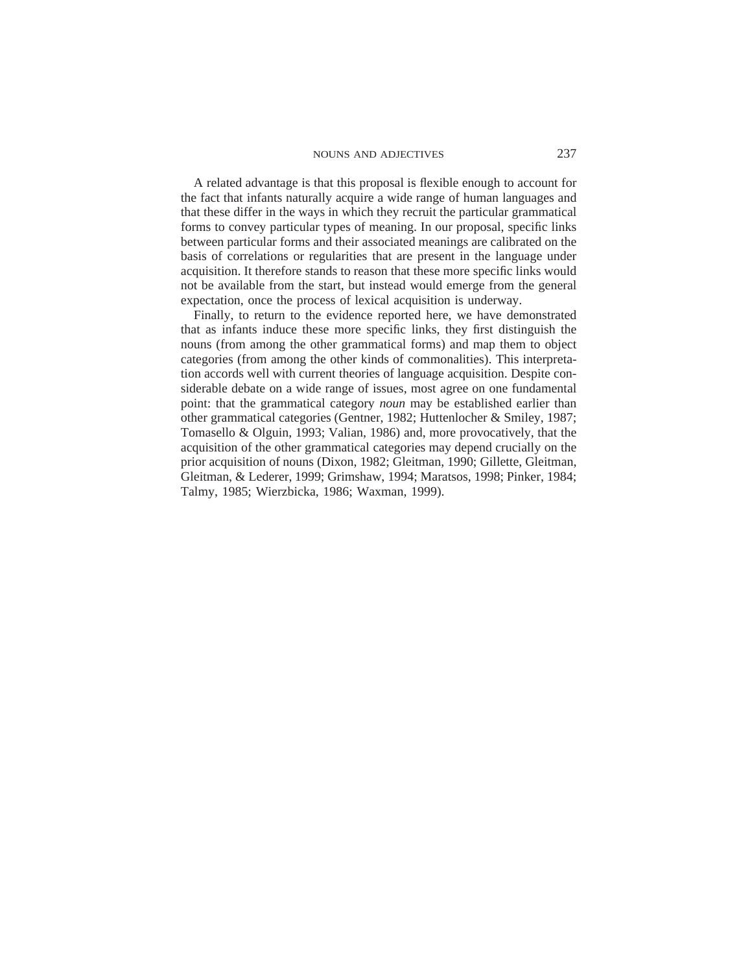A related advantage is that this proposal is flexible enough to account for the fact that infants naturally acquire a wide range of human languages and that these differ in the ways in which they recruit the particular grammatical forms to convey particular types of meaning. In our proposal, specific links between particular forms and their associated meanings are calibrated on the basis of correlations or regularities that are present in the language under acquisition. It therefore stands to reason that these more specific links would not be available from the start, but instead would emerge from the general expectation, once the process of lexical acquisition is underway.

Finally, to return to the evidence reported here, we have demonstrated that as infants induce these more specific links, they first distinguish the nouns (from among the other grammatical forms) and map them to object categories (from among the other kinds of commonalities). This interpretation accords well with current theories of language acquisition. Despite considerable debate on a wide range of issues, most agree on one fundamental point: that the grammatical category *noun* may be established earlier than other grammatical categories (Gentner, 1982; Huttenlocher & Smiley, 1987; Tomasello & Olguin, 1993; Valian, 1986) and, more provocatively, that the acquisition of the other grammatical categories may depend crucially on the prior acquisition of nouns (Dixon, 1982; Gleitman, 1990; Gillette, Gleitman, Gleitman, & Lederer, 1999; Grimshaw, 1994; Maratsos, 1998; Pinker, 1984; Talmy, 1985; Wierzbicka, 1986; Waxman, 1999).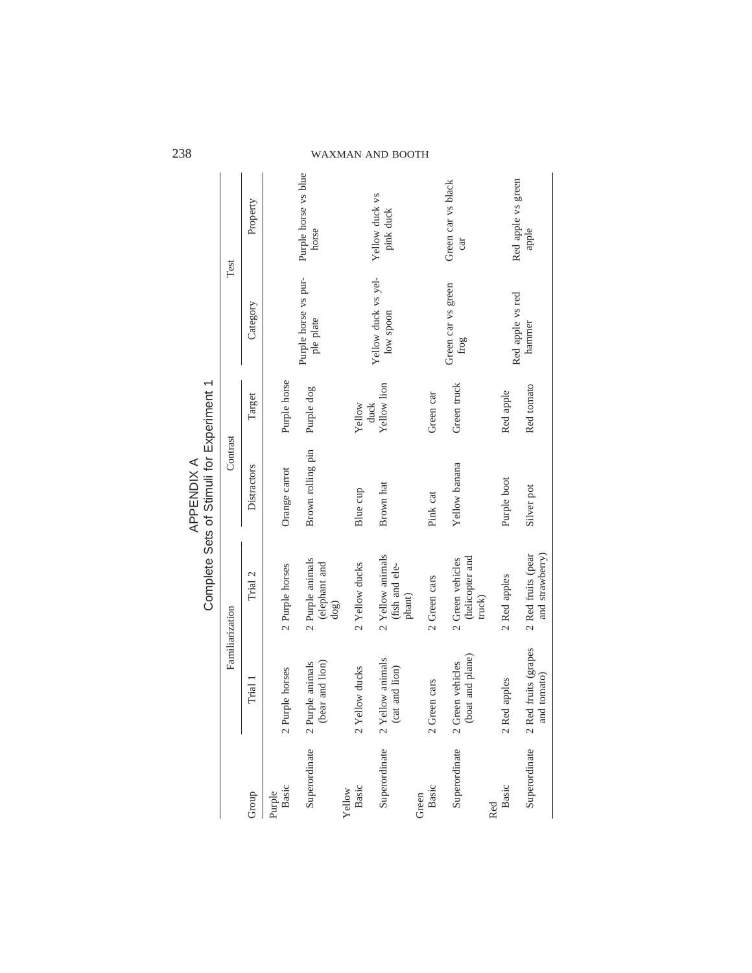|                 |                                                     |                                               | Complete Sets of Stimuli for Experiment 1 |                |                                   |                               |
|-----------------|-----------------------------------------------------|-----------------------------------------------|-------------------------------------------|----------------|-----------------------------------|-------------------------------|
|                 |                                                     | Familiarization                               | Contrast                                  |                |                                   | Test                          |
| Group           | Trial                                               | Trial 2                                       | Distractors                               | Target         | Category                          | Property                      |
| Basic<br>Purple | 2 Purple horses                                     | 2 Purple horses                               | Orange carrot                             | Purple horse   |                                   |                               |
| Superordinate   | bear and lion)<br>2 Purple animals                  | 2 Purple animals<br>(elephant and<br>dog)     | Brown rolling pin                         | Purple dog     | Purple horse vs pur-<br>ple plate | Purple horse vs blue<br>horse |
| Basic<br>Yellow | ellow ducks<br>$\frac{1}{2}$                        | 2 Yellow ducks                                | Blue cup                                  | Yellow<br>duck |                                   |                               |
| Superordinate   | ellow animals<br>cat and lion)<br>$\frac{1}{2}$     | 2 Yellow animals<br>(fish and ele-<br>phant)  | Brown hat                                 | Yellow lion    | Yellow duck vs yel-<br>low spoon  | Yellow duck vs<br>pink duck   |
| Basic<br>Green  | 2 Green cars                                        | 2 Green cars                                  | Pink cat                                  | Green car      |                                   |                               |
| Superordinate   | (boat and plane)<br>dreen vehicles<br>$\frac{1}{2}$ | (helicopter and<br>2 Green vehicles<br>truck) | Yellow banana                             | Green truck    | Green car vs green<br>frog        | Green car vs black<br>car     |
| Basic<br>Red    | 2 Red apples                                        | 2 Red apples                                  | Purple boot                               | Red apple      | Red apple vs red                  | Red apple vs green            |
| Superordinate   | 2 Red fruits (grapes<br>and tomato)                 | 2 Red fruits (pear<br>and strawberry)         | Silver pot                                | Red tomato     | hammer                            | apple                         |

APPENDIX A

APPENDIX A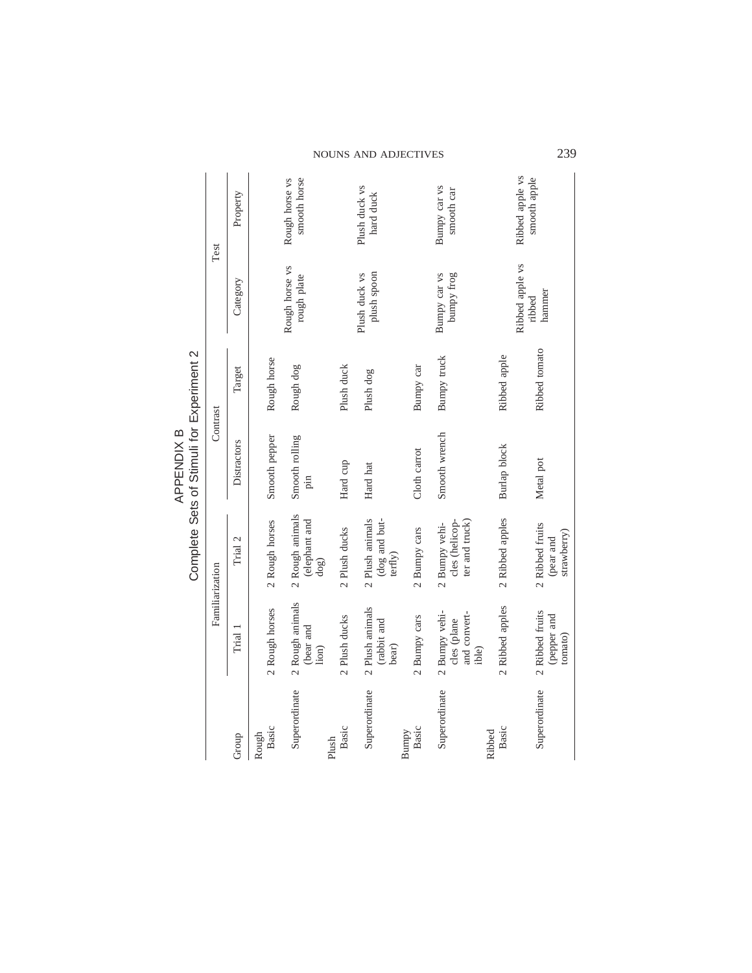|                 |                                                       |                                                   | Complete Sets of Stimuli for Experiment 2<br><b>APPENDIX B</b> |               |                                     |                                 |
|-----------------|-------------------------------------------------------|---------------------------------------------------|----------------------------------------------------------------|---------------|-------------------------------------|---------------------------------|
|                 |                                                       | Familiarization                                   | Contrast                                                       |               |                                     | Test                            |
| Group           | Trial 1                                               | Trial 2                                           | Distractors                                                    | Target        | Category                            | Property                        |
| Basic<br>Rough  | 2 Rough horses                                        | 2 Rough horses                                    | Smooth pepper                                                  | Rough horse   |                                     |                                 |
| Superordinate   | 2 Rough animals<br>(bear and<br>$\text{lion}$         | 2 Rough animals<br>(elephant and<br>dog)          | Smooth rolling<br>pin                                          | Rough dog     | Rough horse vs<br>rough plate       | smooth horse<br>Rough horse vs  |
| Basic<br>Plush  | 2 Plush ducks                                         | 2 Plush ducks                                     | Hard cup                                                       | Plush duck    |                                     |                                 |
| Superordinate   | 2 Plush animals<br>(rabbit and<br>bear)               | 2 Plush animals<br>(dog and but-<br>terfly)       | Hard hat                                                       | Plush dog     | plush spoon<br>Plush duck vs        | Plush duck vs<br>hard duck      |
| Basic<br>Bumpy  | 2 Bumpy cars                                          | 2 Bumpy cars                                      | Cloth carrot                                                   | Bumpy car     |                                     |                                 |
| Superordinate   | 2 Bumpy vehi-<br>and convert-<br>cles (plane<br>ible) | cles (helicop-<br>ter and truck)<br>2 Bumpy vehi- | Smooth wrench                                                  | Bumpy truck   | bumpy frog<br>Bumpy car vs          | Bumpy car vs<br>smooth car      |
| Basic<br>Ribbed | 2 Ribbed apples                                       | 2 Ribbed apples                                   | Burlap block                                                   | Ribbed apple  |                                     |                                 |
| Superordinate   | 2 Ribbed fruits<br>(pepper and<br>tomato)             | 2 Ribbed fruits<br>strawberry)<br>(pear and       | Metal pot                                                      | Ribbed tomato | Ribbed apple vs<br>hammer<br>ribbed | Ribbed apple vs<br>smooth apple |

NOUNS AND ADJECTIVES 239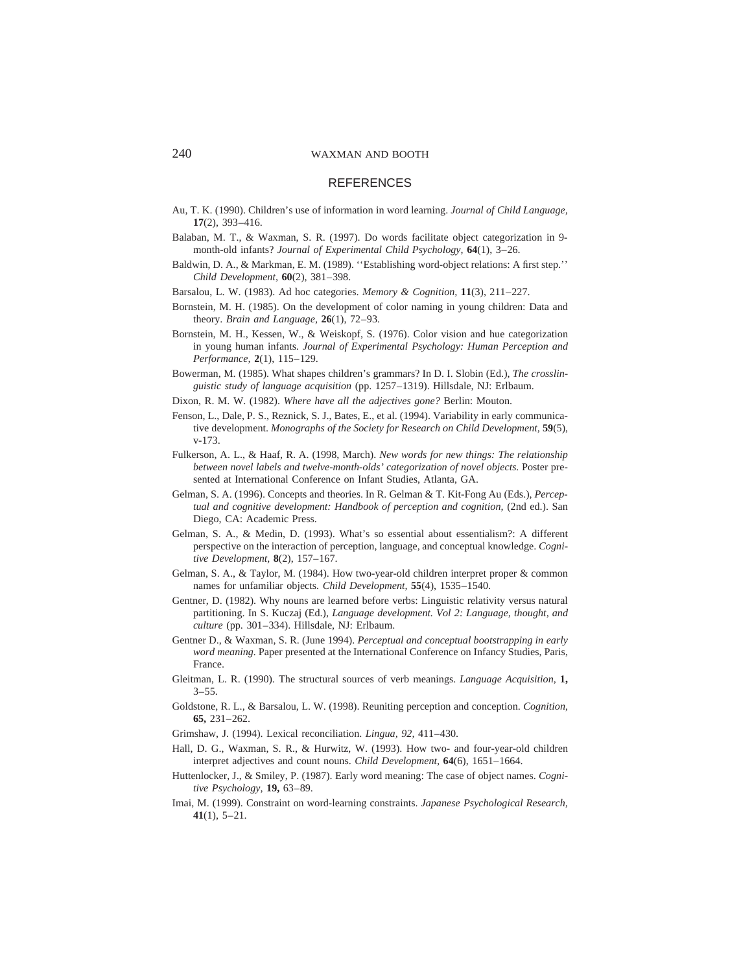#### **REFERENCES**

- Au, T. K. (1990). Children's use of information in word learning. *Journal of Child Language,* **17**(2), 393–416.
- Balaban, M. T., & Waxman, S. R. (1997). Do words facilitate object categorization in 9 month-old infants? *Journal of Experimental Child Psychology,* **64**(1), 3–26.
- Baldwin, D. A., & Markman, E. M. (1989). ''Establishing word-object relations: A first step.'' *Child Development,* **60**(2), 381–398.
- Barsalou, L. W. (1983). Ad hoc categories. *Memory & Cognition,* **11**(3), 211–227.
- Bornstein, M. H. (1985). On the development of color naming in young children: Data and theory. *Brain and Language,* **26**(1), 72–93.
- Bornstein, M. H., Kessen, W., & Weiskopf, S. (1976). Color vision and hue categorization in young human infants. *Journal of Experimental Psychology: Human Perception and Performance,* **2**(1), 115–129.
- Bowerman, M. (1985). What shapes children's grammars? In D. I. Slobin (Ed.), *The crosslinguistic study of language acquisition* (pp. 1257–1319). Hillsdale, NJ: Erlbaum.
- Dixon, R. M. W. (1982). *Where have all the adjectives gone?* Berlin: Mouton.
- Fenson, L., Dale, P. S., Reznick, S. J., Bates, E., et al. (1994). Variability in early communicative development. *Monographs of the Society for Research on Child Development,* **59**(5), v-173.
- Fulkerson, A. L., & Haaf, R. A. (1998, March). *New words for new things: The relationship between novel labels and twelve-month-olds' categorization of novel objects.* Poster presented at International Conference on Infant Studies, Atlanta, GA.
- Gelman, S. A. (1996). Concepts and theories. In R. Gelman & T. Kit-Fong Au (Eds.), *Perceptual and cognitive development: Handbook of perception and cognition,* (2nd ed.). San Diego, CA: Academic Press.
- Gelman, S. A., & Medin, D. (1993). What's so essential about essentialism?: A different perspective on the interaction of perception, language, and conceptual knowledge. *Cognitive Development,* **8**(2), 157–167.
- Gelman, S. A., & Taylor, M. (1984). How two-year-old children interpret proper & common names for unfamiliar objects. *Child Development,* **55**(4), 1535–1540.
- Gentner, D. (1982). Why nouns are learned before verbs: Linguistic relativity versus natural partitioning. In S. Kuczaj (Ed.), *Language development. Vol 2: Language, thought, and culture* (pp. 301–334). Hillsdale, NJ: Erlbaum.
- Gentner D., & Waxman, S. R. (June 1994). *Perceptual and conceptual bootstrapping in early word meaning.* Paper presented at the International Conference on Infancy Studies, Paris, France.
- Gleitman, L. R. (1990). The structural sources of verb meanings. *Language Acquisition,* **1,**  $3 - 55$ .
- Goldstone, R. L., & Barsalou, L. W. (1998). Reuniting perception and conception. *Cognition,* **65,** 231–262.
- Grimshaw, J. (1994). Lexical reconciliation. *Lingua, 92,* 411–430.
- Hall, D. G., Waxman, S. R., & Hurwitz, W. (1993). How two- and four-year-old children interpret adjectives and count nouns. *Child Development,* **64**(6), 1651–1664.
- Huttenlocker, J., & Smiley, P. (1987). Early word meaning: The case of object names. *Cognitive Psychology,* **19,** 63–89.
- Imai, M. (1999). Constraint on word-learning constraints. *Japanese Psychological Research,* **41**(1), 5–21.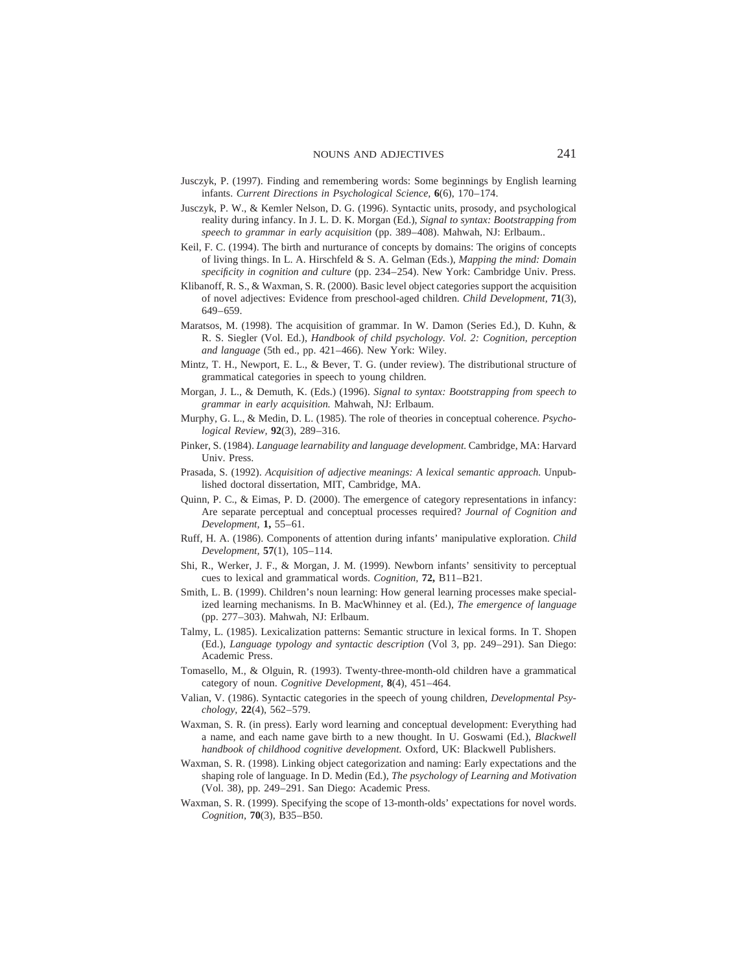- Jusczyk, P. (1997). Finding and remembering words: Some beginnings by English learning infants. *Current Directions in Psychological Science,* **6**(6), 170–174.
- Jusczyk, P. W., & Kemler Nelson, D. G. (1996). Syntactic units, prosody, and psychological reality during infancy. In J. L. D. K. Morgan (Ed.), *Signal to syntax: Bootstrapping from speech to grammar in early acquisition* (pp. 389–408). Mahwah, NJ: Erlbaum..
- Keil, F. C. (1994). The birth and nurturance of concepts by domains: The origins of concepts of living things. In L. A. Hirschfeld & S. A. Gelman (Eds.), *Mapping the mind: Domain specificity in cognition and culture* (pp. 234–254). New York: Cambridge Univ. Press.
- Klibanoff, R. S., & Waxman, S. R. (2000). Basic level object categories support the acquisition of novel adjectives: Evidence from preschool-aged children. *Child Development,* **71**(3), 649–659.
- Maratsos, M. (1998). The acquisition of grammar. In W. Damon (Series Ed.), D. Kuhn, & R. S. Siegler (Vol. Ed.), *Handbook of child psychology. Vol. 2: Cognition, perception and language* (5th ed., pp. 421–466). New York: Wiley.
- Mintz, T. H., Newport, E. L., & Bever, T. G. (under review). The distributional structure of grammatical categories in speech to young children.
- Morgan, J. L., & Demuth, K. (Eds.) (1996). *Signal to syntax: Bootstrapping from speech to grammar in early acquisition.* Mahwah, NJ: Erlbaum.
- Murphy, G. L., & Medin, D. L. (1985). The role of theories in conceptual coherence. *Psychological Review,* **92**(3), 289–316.
- Pinker, S. (1984). *Language learnability and language development.* Cambridge, MA: Harvard Univ. Press.
- Prasada, S. (1992). *Acquisition of adjective meanings: A lexical semantic approach.* Unpublished doctoral dissertation, MIT, Cambridge, MA.
- Quinn, P. C., & Eimas, P. D. (2000). The emergence of category representations in infancy: Are separate perceptual and conceptual processes required? *Journal of Cognition and Development,* **1,** 55–61.
- Ruff, H. A. (1986). Components of attention during infants' manipulative exploration. *Child Development,* **57**(1), 105–114.
- Shi, R., Werker, J. F., & Morgan, J. M. (1999). Newborn infants' sensitivity to perceptual cues to lexical and grammatical words. *Cognition,* **72,** B11–B21.
- Smith, L. B. (1999). Children's noun learning: How general learning processes make specialized learning mechanisms. In B. MacWhinney et al. (Ed.), *The emergence of language* (pp. 277–303). Mahwah, NJ: Erlbaum.
- Talmy, L. (1985). Lexicalization patterns: Semantic structure in lexical forms. In T. Shopen (Ed.), *Language typology and syntactic description* (Vol 3, pp. 249–291). San Diego: Academic Press.
- Tomasello, M., & Olguin, R. (1993). Twenty-three-month-old children have a grammatical category of noun. *Cognitive Development,* **8**(4), 451–464.
- Valian, V. (1986). Syntactic categories in the speech of young children, *Developmental Psychology,* **22**(4), 562–579.
- Waxman, S. R. (in press). Early word learning and conceptual development: Everything had a name, and each name gave birth to a new thought. In U. Goswami (Ed.), *Blackwell handbook of childhood cognitive development.* Oxford, UK: Blackwell Publishers.
- Waxman, S. R. (1998). Linking object categorization and naming: Early expectations and the shaping role of language. In D. Medin (Ed.), *The psychology of Learning and Motivation* (Vol. 38), pp. 249–291. San Diego: Academic Press.
- Waxman, S. R. (1999). Specifying the scope of 13-month-olds' expectations for novel words. *Cognition,* **70**(3), B35–B50.